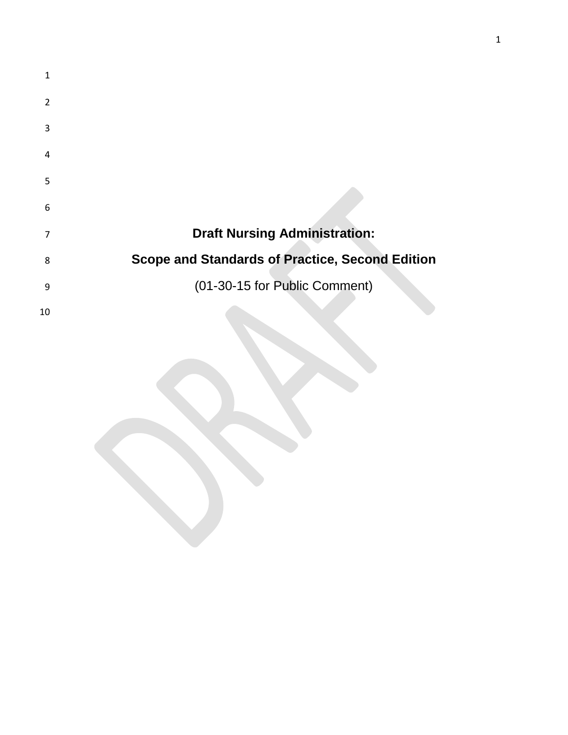| 1  |                                                        |
|----|--------------------------------------------------------|
| 2  |                                                        |
| 3  |                                                        |
| 4  |                                                        |
| 5  |                                                        |
| 6  |                                                        |
| 7  | <b>Draft Nursing Administration:</b>                   |
| 8  | <b>Scope and Standards of Practice, Second Edition</b> |
| 9  | (01-30-15 for Public Comment)                          |
| 10 |                                                        |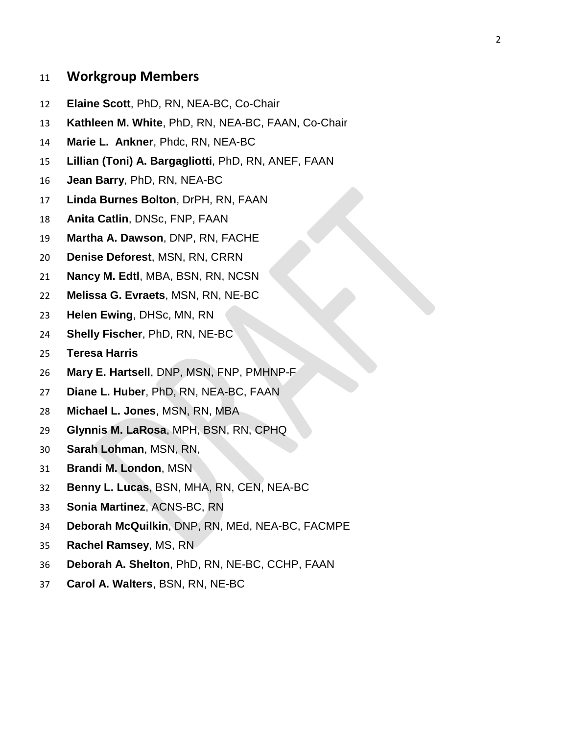## **Workgroup Members**

- **Elaine Scott**, PhD, RN, NEA-BC, Co-Chair
- **Kathleen M. White**, PhD, RN, NEA-BC, FAAN, Co-Chair
- **Marie L. Ankner**, Phdc, RN, NEA-BC
- **Lillian (Toni) A. Bargagliotti**, PhD, RN, ANEF, FAAN
- **Jean Barry**, PhD, RN, NEA-BC
- **Linda Burnes Bolton**, DrPH, RN, FAAN
- **Anita Catlin**, DNSc, FNP, FAAN
- **Martha A. Dawson**, DNP, RN, FACHE
- **Denise Deforest**, MSN, RN, CRRN
- **Nancy M. Edtl**, MBA, BSN, RN, NCSN
- **Melissa G. Evraets**, MSN, RN, NE-BC
- **Helen Ewing**, DHSc, MN, RN
- **Shelly Fischer**, PhD, RN, NE-BC
- **Teresa Harris**
- **Mary E. Hartsell**, DNP, MSN, FNP, PMHNP-F
- **Diane L. Huber**, PhD, RN, NEA-BC, FAAN
- **Michael L. Jones**, MSN, RN, MBA
- **Glynnis M. LaRosa**, MPH, BSN, RN, CPHQ
- **Sarah Lohman**, MSN, RN,
- **Brandi M. London**, MSN
- **Benny L. Lucas**, BSN, MHA, RN, CEN, NEA-BC
- **Sonia Martinez**, ACNS-BC, RN
- **Deborah McQuilkin**, DNP, RN, MEd, NEA-BC, FACMPE
- **Rachel Ramsey**, MS, RN
- **Deborah A. Shelton**, PhD, RN, NE-BC, CCHP, FAAN
- **Carol A. Walters**, BSN, RN, NE-BC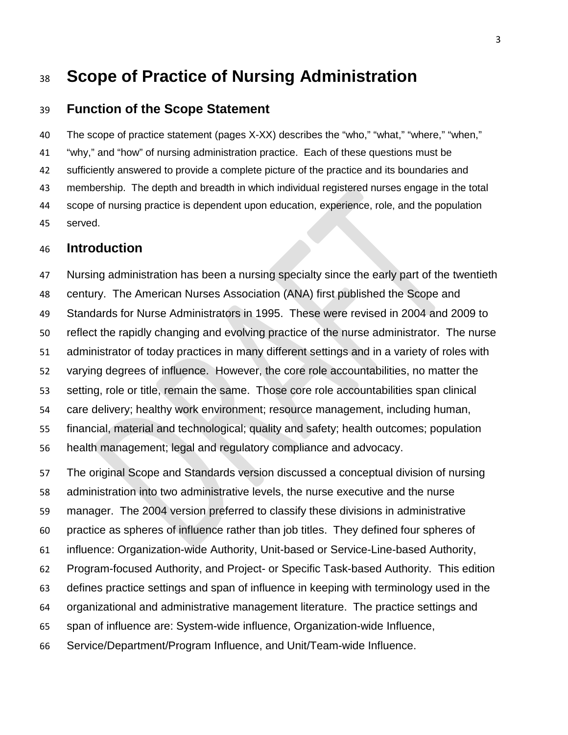# **Scope of Practice of Nursing Administration**

### **Function of the Scope Statement**

 The scope of practice statement (pages X-XX) describes the "who," "what," "where," "when," "why," and "how" of nursing administration practice. Each of these questions must be sufficiently answered to provide a complete picture of the practice and its boundaries and membership. The depth and breadth in which individual registered nurses engage in the total scope of nursing practice is dependent upon education, experience, role, and the population served.

### **Introduction**

 Nursing administration has been a nursing specialty since the early part of the twentieth century. The American Nurses Association (ANA) first published the Scope and Standards for Nurse Administrators in 1995. These were revised in 2004 and 2009 to reflect the rapidly changing and evolving practice of the nurse administrator. The nurse administrator of today practices in many different settings and in a variety of roles with varying degrees of influence. However, the core role accountabilities, no matter the setting, role or title, remain the same. Those core role accountabilities span clinical care delivery; healthy work environment; resource management, including human, financial, material and technological; quality and safety; health outcomes; population health management; legal and regulatory compliance and advocacy.

 The original Scope and Standards version discussed a conceptual division of nursing administration into two administrative levels, the nurse executive and the nurse manager. The 2004 version preferred to classify these divisions in administrative practice as spheres of influence rather than job titles. They defined four spheres of influence: Organization-wide Authority, Unit-based or Service-Line-based Authority, Program-focused Authority, and Project- or Specific Task-based Authority. This edition defines practice settings and span of influence in keeping with terminology used in the organizational and administrative management literature. The practice settings and span of influence are: System-wide influence, Organization-wide Influence, Service/Department/Program Influence, and Unit/Team-wide Influence.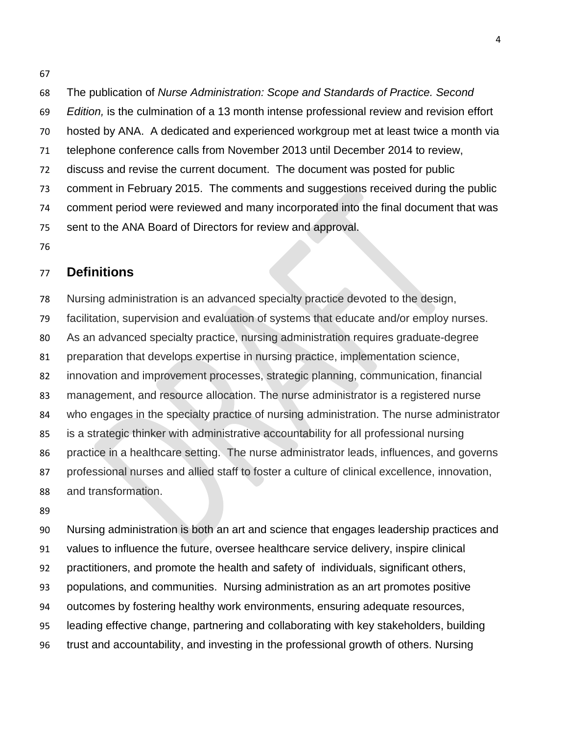The publication of *Nurse Administration: Scope and Standards of Practice. Second Edition,* is the culmination of a 13 month intense professional review and revision effort hosted by ANA. A dedicated and experienced workgroup met at least twice a month via telephone conference calls from November 2013 until December 2014 to review, discuss and revise the current document. The document was posted for public comment in February 2015. The comments and suggestions received during the public comment period were reviewed and many incorporated into the final document that was sent to the ANA Board of Directors for review and approval.

### **Definitions**

Nursing administration is an advanced specialty practice devoted to the design,

facilitation, supervision and evaluation of systems that educate and/or employ nurses.

As an advanced specialty practice, nursing administration requires graduate-degree

preparation that develops expertise in nursing practice, implementation science,

innovation and improvement processes, strategic planning, communication, financial

management, and resource allocation. The nurse administrator is a registered nurse

who engages in the specialty practice of nursing administration. The nurse administrator

is a strategic thinker with administrative accountability for all professional nursing

practice in a healthcare setting. The nurse administrator leads, influences, and governs

professional nurses and allied staff to foster a culture of clinical excellence, innovation,

and transformation.

 Nursing administration is both an art and science that engages leadership practices and values to influence the future, oversee healthcare service delivery, inspire clinical practitioners, and promote the health and safety of individuals, significant others, populations, and communities. Nursing administration as an art promotes positive outcomes by fostering healthy work environments, ensuring adequate resources, leading effective change, partnering and collaborating with key stakeholders, building trust and accountability, and investing in the professional growth of others. Nursing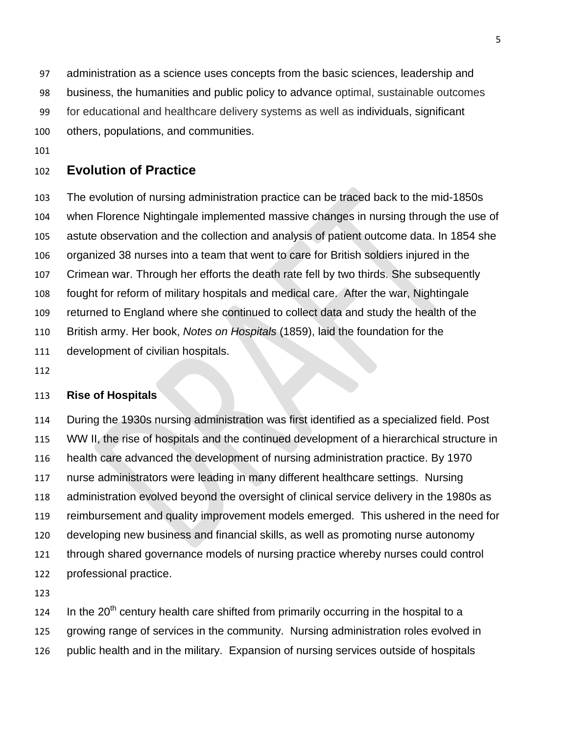administration as a science uses concepts from the basic sciences, leadership and

business, the humanities and public policy to advance optimal, sustainable outcomes

for educational and healthcare delivery systems as well as individuals, significant

others, populations, and communities.

## **Evolution of Practice**

 The evolution of nursing administration practice can be traced back to the mid-1850s when Florence Nightingale implemented massive changes in nursing through the use of astute observation and the collection and analysis of patient outcome data. In 1854 she organized 38 nurses into a team that went to care for British soldiers injured in the Crimean war. Through her efforts the death rate fell by two thirds. She subsequently fought for reform of military hospitals and medical care. After the war, Nightingale returned to England where she continued to collect data and study the health of the British army. Her book, *Notes on Hospitals* (1859), laid the foundation for the development of civilian hospitals.

#### **Rise of Hospitals**

 During the 1930s nursing administration was first identified as a specialized field. Post WW II, the rise of hospitals and the continued development of a hierarchical structure in health care advanced the development of nursing administration practice. By 1970 nurse administrators were leading in many different healthcare settings. Nursing administration evolved beyond the oversight of clinical service delivery in the 1980s as reimbursement and quality improvement models emerged. This ushered in the need for developing new business and financial skills, as well as promoting nurse autonomy through shared governance models of nursing practice whereby nurses could control professional practice.

124 In the  $20<sup>th</sup>$  century health care shifted from primarily occurring in the hospital to a growing range of services in the community. Nursing administration roles evolved in public health and in the military. Expansion of nursing services outside of hospitals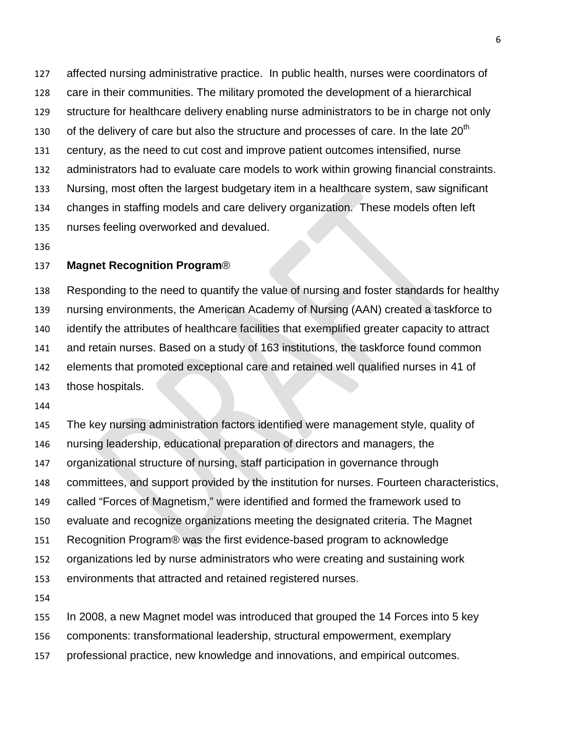affected nursing administrative practice. In public health, nurses were coordinators of care in their communities. The military promoted the development of a hierarchical structure for healthcare delivery enabling nurse administrators to be in charge not only 130 of the delivery of care but also the structure and processes of care. In the late  $20<sup>th</sup>$  century, as the need to cut cost and improve patient outcomes intensified, nurse administrators had to evaluate care models to work within growing financial constraints. Nursing, most often the largest budgetary item in a healthcare system, saw significant changes in staffing models and care delivery organization. These models often left nurses feeling overworked and devalued.

#### **Magnet Recognition Program**®

 Responding to the need to quantify the value of nursing and foster standards for healthy nursing environments, the American Academy of Nursing (AAN) created a taskforce to identify the attributes of healthcare facilities that exemplified greater capacity to attract and retain nurses. Based on a study of 163 institutions, the taskforce found common elements that promoted exceptional care and retained well qualified nurses in 41 of those hospitals.

 The key nursing administration factors identified were management style, quality of nursing leadership, educational preparation of directors and managers, the organizational structure of nursing, staff participation in governance through committees, and support provided by the institution for nurses. Fourteen characteristics, called "Forces of Magnetism," were identified and formed the framework used to evaluate and recognize organizations meeting the designated criteria. The Magnet Recognition Program® was the first evidence-based program to acknowledge organizations led by nurse administrators who were creating and sustaining work environments that attracted and retained registered nurses. 

In 2008, a new Magnet model was introduced that grouped the 14 Forces into 5 key

components: transformational leadership, structural empowerment, exemplary

professional practice, new knowledge and innovations, and empirical outcomes.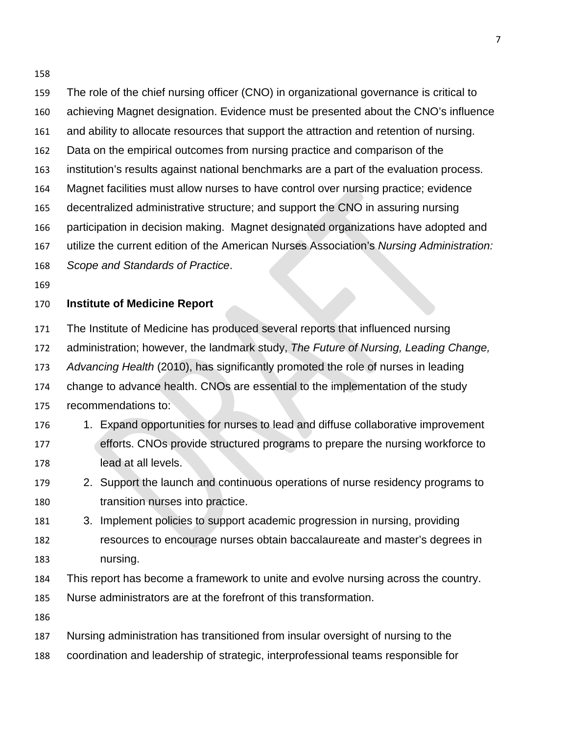The role of the chief nursing officer (CNO) in organizational governance is critical to achieving Magnet designation. Evidence must be presented about the CNO's influence and ability to allocate resources that support the attraction and retention of nursing. Data on the empirical outcomes from nursing practice and comparison of the institution's results against national benchmarks are a part of the evaluation process. Magnet facilities must allow nurses to have control over nursing practice; evidence decentralized administrative structure; and support the CNO in assuring nursing participation in decision making. Magnet designated organizations have adopted and utilize the current edition of the American Nurses Association's *Nursing Administration: Scope and Standards of Practice*. **Institute of Medicine Report** The Institute of Medicine has produced several reports that influenced nursing administration; however, the landmark study, *The Future of Nursing, Leading Change, Advancing Health* (2010), has significantly promoted the role of nurses in leading change to advance health. CNOs are essential to the implementation of the study recommendations to: 1. Expand opportunities for nurses to lead and diffuse collaborative improvement efforts. CNOs provide structured programs to prepare the nursing workforce to lead at all levels. 2. Support the launch and continuous operations of nurse residency programs to transition nurses into practice. 3. Implement policies to support academic progression in nursing, providing resources to encourage nurses obtain baccalaureate and master's degrees in nursing. This report has become a framework to unite and evolve nursing across the country. Nurse administrators are at the forefront of this transformation. Nursing administration has transitioned from insular oversight of nursing to the coordination and leadership of strategic, interprofessional teams responsible for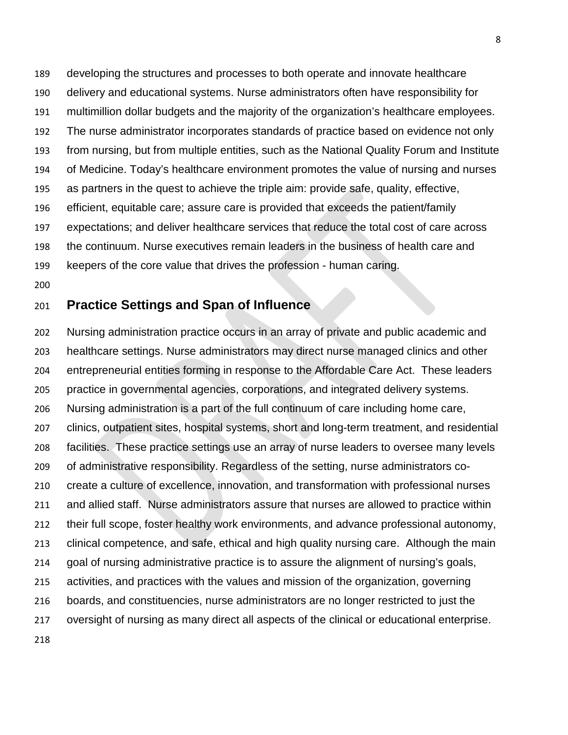developing the structures and processes to both operate and innovate healthcare delivery and educational systems. Nurse administrators often have responsibility for multimillion dollar budgets and the majority of the organization's healthcare employees. The nurse administrator incorporates standards of practice based on evidence not only from nursing, but from multiple entities, such as the National Quality Forum and Institute of Medicine. Today's healthcare environment promotes the value of nursing and nurses as partners in the quest to achieve the triple aim: provide safe, quality, effective, efficient, equitable care; assure care is provided that exceeds the patient/family expectations; and deliver healthcare services that reduce the total cost of care across the continuum. Nurse executives remain leaders in the business of health care and keepers of the core value that drives the profession - human caring.

## **Practice Settings and Span of Influence**

 Nursing administration practice occurs in an array of private and public academic and healthcare settings. Nurse administrators may direct nurse managed clinics and other entrepreneurial entities forming in response to the Affordable Care Act. These leaders practice in governmental agencies, corporations, and integrated delivery systems. Nursing administration is a part of the full continuum of care including home care, clinics, outpatient sites, hospital systems, short and long-term treatment, and residential facilities. These practice settings use an array of nurse leaders to oversee many levels of administrative responsibility. Regardless of the setting, nurse administrators co- create a culture of excellence, innovation, and transformation with professional nurses and allied staff. Nurse administrators assure that nurses are allowed to practice within their full scope, foster healthy work environments, and advance professional autonomy, clinical competence, and safe, ethical and high quality nursing care. Although the main goal of nursing administrative practice is to assure the alignment of nursing's goals, activities, and practices with the values and mission of the organization, governing boards, and constituencies, nurse administrators are no longer restricted to just the oversight of nursing as many direct all aspects of the clinical or educational enterprise.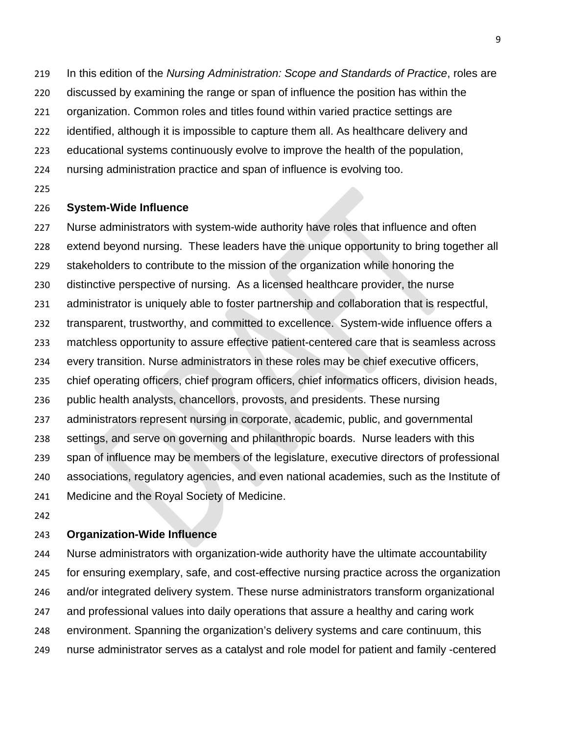In this edition of the *Nursing Administration: Scope and Standards of Practice*, roles are

discussed by examining the range or span of influence the position has within the

organization. Common roles and titles found within varied practice settings are

- identified, although it is impossible to capture them all. As healthcare delivery and
- educational systems continuously evolve to improve the health of the population,
- nursing administration practice and span of influence is evolving too.
- 

### **System-Wide Influence**

 Nurse administrators with system-wide authority have roles that influence and often extend beyond nursing. These leaders have the unique opportunity to bring together all stakeholders to contribute to the mission of the organization while honoring the distinctive perspective of nursing. As a licensed healthcare provider, the nurse administrator is uniquely able to foster partnership and collaboration that is respectful, transparent, trustworthy, and committed to excellence. System-wide influence offers a matchless opportunity to assure effective patient-centered care that is seamless across every transition. Nurse administrators in these roles may be chief executive officers, chief operating officers, chief program officers, chief informatics officers, division heads, public health analysts, chancellors, provosts, and presidents. These nursing administrators represent nursing in corporate, academic, public, and governmental settings, and serve on governing and philanthropic boards. Nurse leaders with this span of influence may be members of the legislature, executive directors of professional associations, regulatory agencies, and even national academies, such as the Institute of Medicine and the Royal Society of Medicine.

### **Organization-Wide Influence**

 Nurse administrators with organization-wide authority have the ultimate accountability for ensuring exemplary, safe, and cost-effective nursing practice across the organization and/or integrated delivery system. These nurse administrators transform organizational and professional values into daily operations that assure a healthy and caring work environment. Spanning the organization's delivery systems and care continuum, this nurse administrator serves as a catalyst and role model for patient and family -centered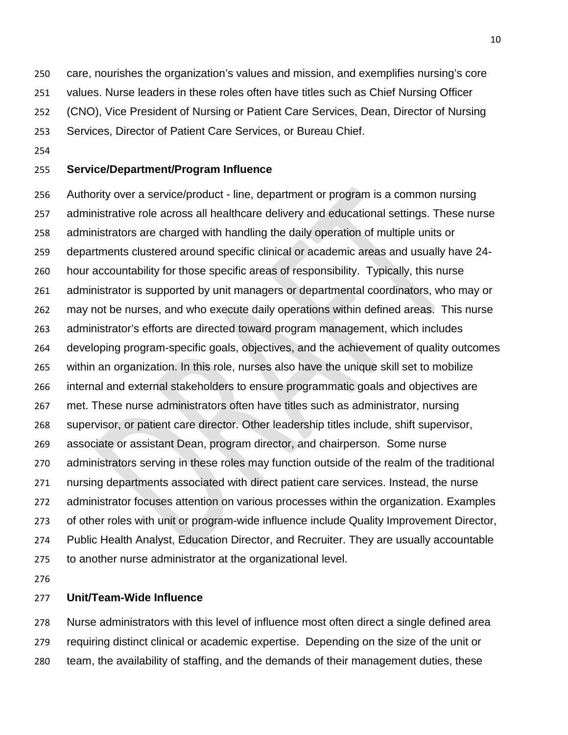care, nourishes the organization's values and mission, and exemplifies nursing's core

values. Nurse leaders in these roles often have titles such as Chief Nursing Officer

(CNO), Vice President of Nursing or Patient Care Services, Dean, Director of Nursing

Services, Director of Patient Care Services, or Bureau Chief.

### **Service/Department/Program Influence**

 Authority over a service/product - line, department or program is a common nursing administrative role across all healthcare delivery and educational settings. These nurse administrators are charged with handling the daily operation of multiple units or departments clustered around specific clinical or academic areas and usually have 24- hour accountability for those specific areas of responsibility. Typically, this nurse administrator is supported by unit managers or departmental coordinators, who may or may not be nurses, and who execute daily operations within defined areas. This nurse administrator's efforts are directed toward program management, which includes developing program-specific goals, objectives, and the achievement of quality outcomes within an organization. In this role, nurses also have the unique skill set to mobilize internal and external stakeholders to ensure programmatic goals and objectives are met. These nurse administrators often have titles such as administrator, nursing supervisor, or patient care director. Other leadership titles include, shift supervisor, associate or assistant Dean, program director, and chairperson. Some nurse administrators serving in these roles may function outside of the realm of the traditional nursing departments associated with direct patient care services. Instead, the nurse administrator focuses attention on various processes within the organization. Examples of other roles with unit or program-wide influence include Quality Improvement Director, Public Health Analyst, Education Director, and Recruiter. They are usually accountable to another nurse administrator at the organizational level.

### **Unit/Team-Wide Influence**

 Nurse administrators with this level of influence most often direct a single defined area requiring distinct clinical or academic expertise. Depending on the size of the unit or team, the availability of staffing, and the demands of their management duties, these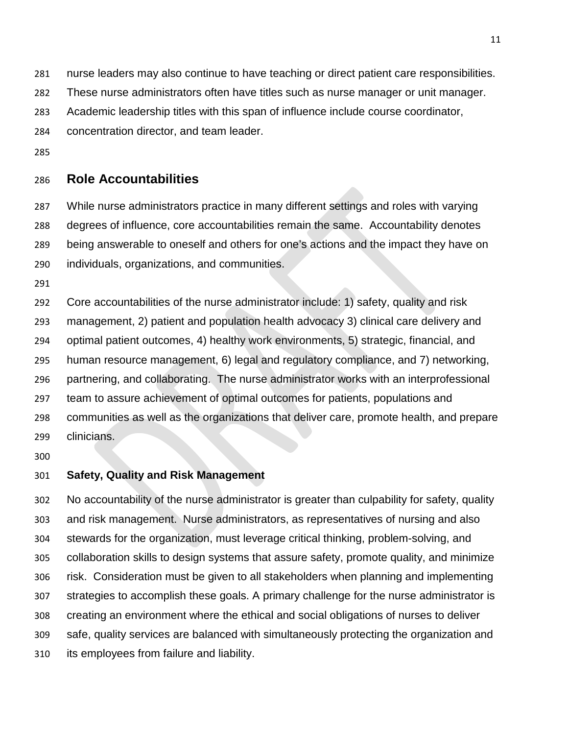nurse leaders may also continue to have teaching or direct patient care responsibilities.

These nurse administrators often have titles such as nurse manager or unit manager.

Academic leadership titles with this span of influence include course coordinator,

concentration director, and team leader.

### **Role Accountabilities**

 While nurse administrators practice in many different settings and roles with varying degrees of influence, core accountabilities remain the same. Accountability denotes being answerable to oneself and others for one's actions and the impact they have on individuals, organizations, and communities.

 Core accountabilities of the nurse administrator include: 1) safety, quality and risk management, 2) patient and population health advocacy 3) clinical care delivery and optimal patient outcomes, 4) healthy work environments, 5) strategic, financial, and human resource management, 6) legal and regulatory compliance, and 7) networking, partnering, and collaborating. The nurse administrator works with an interprofessional team to assure achievement of optimal outcomes for patients, populations and communities as well as the organizations that deliver care, promote health, and prepare clinicians.

### **Safety, Quality and Risk Management**

 No accountability of the nurse administrator is greater than culpability for safety, quality and risk management. Nurse administrators, as representatives of nursing and also stewards for the organization, must leverage critical thinking, problem-solving, and collaboration skills to design systems that assure safety, promote quality, and minimize risk. Consideration must be given to all stakeholders when planning and implementing strategies to accomplish these goals. A primary challenge for the nurse administrator is creating an environment where the ethical and social obligations of nurses to deliver safe, quality services are balanced with simultaneously protecting the organization and its employees from failure and liability.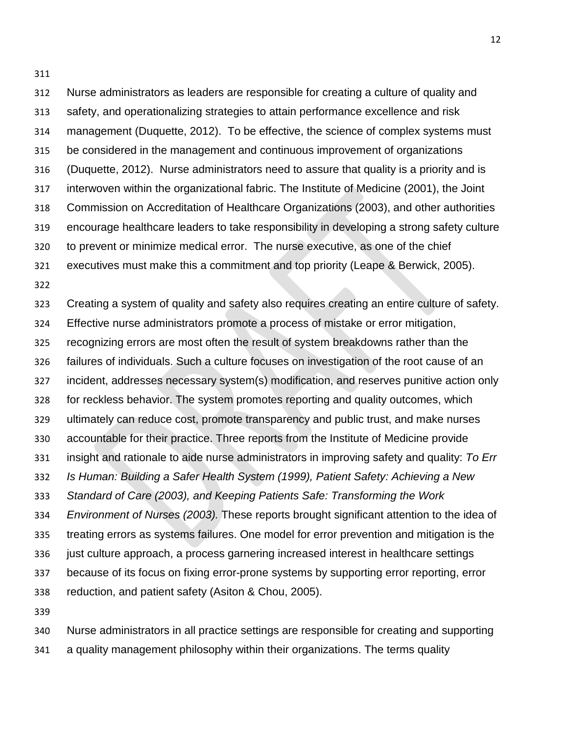Nurse administrators as leaders are responsible for creating a culture of quality and safety, and operationalizing strategies to attain performance excellence and risk management (Duquette, 2012). To be effective, the science of complex systems must be considered in the management and continuous improvement of organizations (Duquette, 2012). Nurse administrators need to assure that quality is a priority and is interwoven within the organizational fabric. The Institute of Medicine (2001), the Joint Commission on Accreditation of Healthcare Organizations (2003), and other authorities encourage healthcare leaders to take responsibility in developing a strong safety culture to prevent or minimize medical error. The nurse executive, as one of the chief executives must make this a commitment and top priority (Leape & Berwick, 2005). Creating a system of quality and safety also requires creating an entire culture of safety. Effective nurse administrators promote a process of mistake or error mitigation,

recognizing errors are most often the result of system breakdowns rather than the

failures of individuals. Such a culture focuses on investigation of the root cause of an

incident, addresses necessary system(s) modification, and reserves punitive action only

for reckless behavior. The system promotes reporting and quality outcomes, which

ultimately can reduce cost, promote transparency and public trust, and make nurses

accountable for their practice. Three reports from the Institute of Medicine provide

insight and rationale to aide nurse administrators in improving safety and quality: *To Err* 

*Is Human: Building a Safer Health System (1999), Patient Safety: Achieving a New* 

*Standard of Care (2003), and Keeping Patients Safe: Transforming the Work* 

*Environment of Nurses (2003).* These reports brought significant attention to the idea of

treating errors as systems failures. One model for error prevention and mitigation is the

just culture approach, a process garnering increased interest in healthcare settings

because of its focus on fixing error-prone systems by supporting error reporting, error

- reduction, and patient safety (Asiton & Chou, 2005).
- 

Nurse administrators in all practice settings are responsible for creating and supporting

a quality management philosophy within their organizations. The terms quality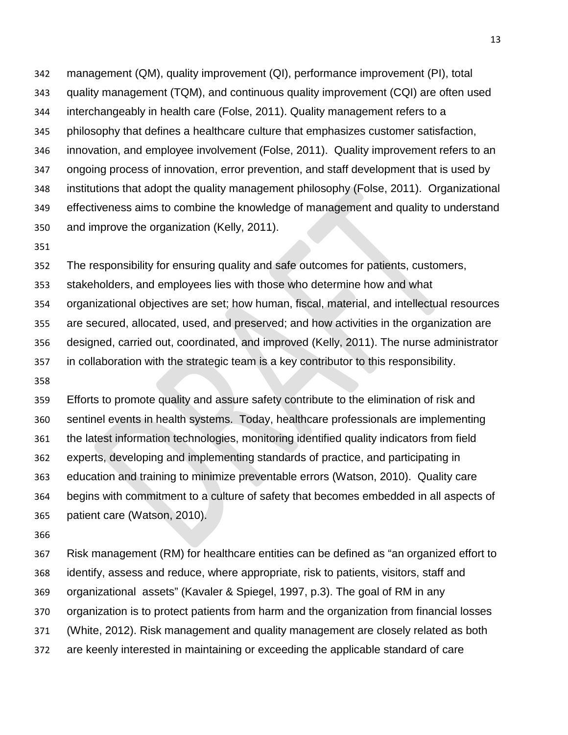management (QM), quality improvement (QI), performance improvement (PI), total quality management (TQM), and continuous quality improvement (CQI) are often used interchangeably in health care (Folse, 2011). Quality management refers to a philosophy that defines a healthcare culture that emphasizes customer satisfaction, innovation, and employee involvement (Folse, 2011). Quality improvement refers to an ongoing process of innovation, error prevention, and staff development that is used by institutions that adopt the quality management philosophy (Folse, 2011). Organizational effectiveness aims to combine the knowledge of management and quality to understand and improve the organization (Kelly, 2011).

The responsibility for ensuring quality and safe outcomes for patients, customers,

stakeholders, and employees lies with those who determine how and what

 organizational objectives are set; how human, fiscal, material, and intellectual resources are secured, allocated, used, and preserved; and how activities in the organization are designed, carried out, coordinated, and improved (Kelly, 2011). The nurse administrator in collaboration with the strategic team is a key contributor to this responsibility.

 Efforts to promote quality and assure safety contribute to the elimination of risk and sentinel events in health systems. Today, healthcare professionals are implementing the latest information technologies, monitoring identified quality indicators from field experts, developing and implementing standards of practice, and participating in education and training to minimize preventable errors (Watson, 2010). Quality care begins with commitment to a culture of safety that becomes embedded in all aspects of patient care (Watson, 2010).

 Risk management (RM) for healthcare entities can be defined as "an organized effort to identify, assess and reduce, where appropriate, risk to patients, visitors, staff and organizational assets" (Kavaler & Spiegel, 1997, p.3). The goal of RM in any organization is to protect patients from harm and the organization from financial losses (White, 2012). Risk management and quality management are closely related as both are keenly interested in maintaining or exceeding the applicable standard of care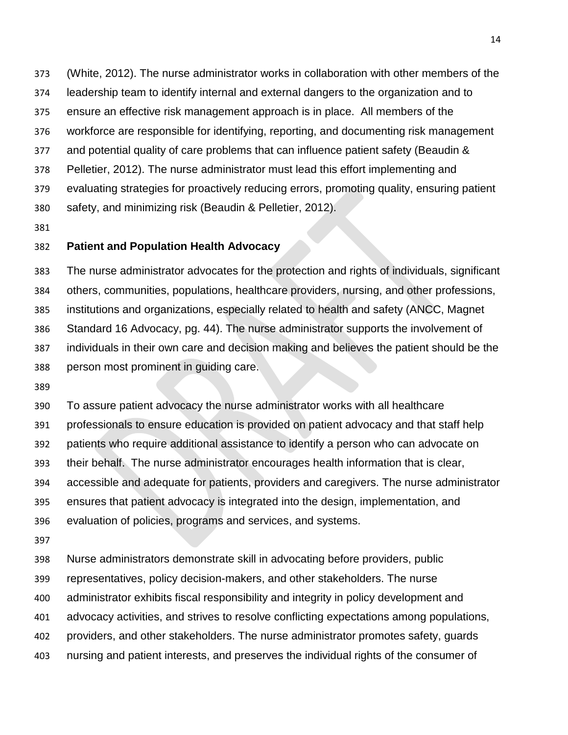(White, 2012). The nurse administrator works in collaboration with other members of the leadership team to identify internal and external dangers to the organization and to ensure an effective risk management approach is in place. All members of the workforce are responsible for identifying, reporting, and documenting risk management and potential quality of care problems that can influence patient safety (Beaudin & Pelletier, 2012). The nurse administrator must lead this effort implementing and evaluating strategies for proactively reducing errors, promoting quality, ensuring patient safety, and minimizing risk (Beaudin & Pelletier, 2012).

#### **Patient and Population Health Advocacy**

 The nurse administrator advocates for the protection and rights of individuals, significant others, communities, populations, healthcare providers, nursing, and other professions, institutions and organizations, especially related to health and safety (ANCC, Magnet Standard 16 Advocacy, pg. 44). The nurse administrator supports the involvement of individuals in their own care and decision making and believes the patient should be the person most prominent in guiding care.

 To assure patient advocacy the nurse administrator works with all healthcare professionals to ensure education is provided on patient advocacy and that staff help patients who require additional assistance to identify a person who can advocate on their behalf. The nurse administrator encourages health information that is clear, accessible and adequate for patients, providers and caregivers. The nurse administrator ensures that patient advocacy is integrated into the design, implementation, and evaluation of policies, programs and services, and systems.

 Nurse administrators demonstrate skill in advocating before providers, public representatives, policy decision-makers, and other stakeholders. The nurse administrator exhibits fiscal responsibility and integrity in policy development and advocacy activities, and strives to resolve conflicting expectations among populations, providers, and other stakeholders. The nurse administrator promotes safety, guards nursing and patient interests, and preserves the individual rights of the consumer of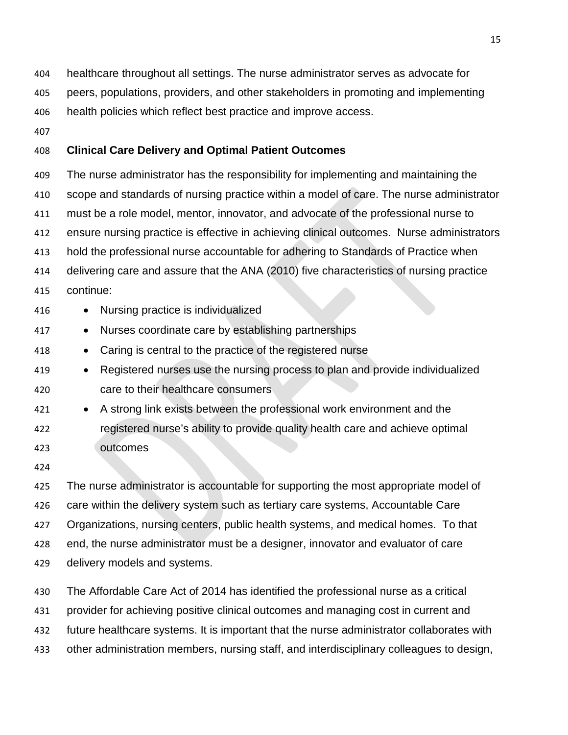healthcare throughout all settings. The nurse administrator serves as advocate for

peers, populations, providers, and other stakeholders in promoting and implementing

health policies which reflect best practice and improve access.

### **Clinical Care Delivery and Optimal Patient Outcomes**

 The nurse administrator has the responsibility for implementing and maintaining the scope and standards of nursing practice within a model of care. The nurse administrator must be a role model, mentor, innovator, and advocate of the professional nurse to ensure nursing practice is effective in achieving clinical outcomes. Nurse administrators hold the professional nurse accountable for adhering to Standards of Practice when delivering care and assure that the ANA (2010) five characteristics of nursing practice continue: • Nursing practice is individualized • Nurses coordinate care by establishing partnerships • Caring is central to the practice of the registered nurse

- Registered nurses use the nursing process to plan and provide individualized care to their healthcare consumers
- A strong link exists between the professional work environment and the registered nurse's ability to provide quality health care and achieve optimal outcomes
- 

 The nurse administrator is accountable for supporting the most appropriate model of care within the delivery system such as tertiary care systems, Accountable Care Organizations, nursing centers, public health systems, and medical homes. To that end, the nurse administrator must be a designer, innovator and evaluator of care delivery models and systems.

 The Affordable Care Act of 2014 has identified the professional nurse as a critical provider for achieving positive clinical outcomes and managing cost in current and future healthcare systems. It is important that the nurse administrator collaborates with other administration members, nursing staff, and interdisciplinary colleagues to design,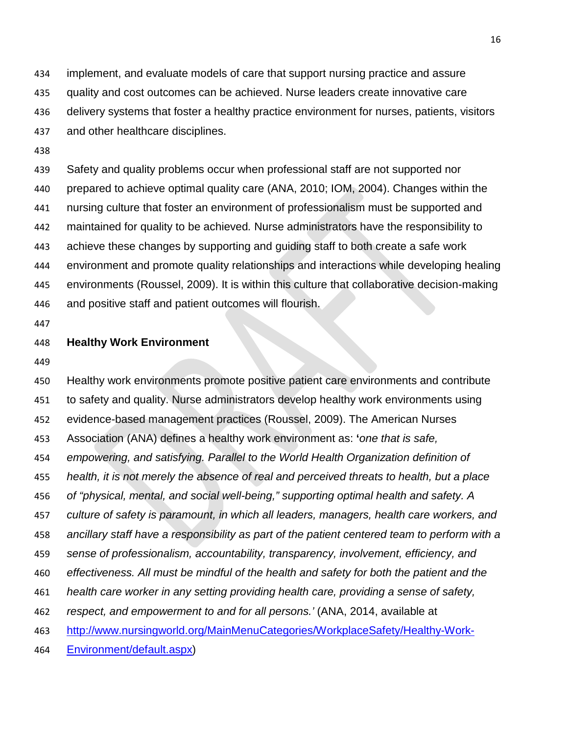implement, and evaluate models of care that support nursing practice and assure quality and cost outcomes can be achieved. Nurse leaders create innovative care delivery systems that foster a healthy practice environment for nurses, patients, visitors and other healthcare disciplines.

 Safety and quality problems occur when professional staff are not supported nor prepared to achieve optimal quality care (ANA, 2010; IOM, 2004). Changes within the nursing culture that foster an environment of professionalism must be supported and maintained for quality to be achieved*.* Nurse administrators have the responsibility to achieve these changes by supporting and guiding staff to both create a safe work environment and promote quality relationships and interactions while developing healing environments (Roussel, 2009). It is within this culture that collaborative decision-making and positive staff and patient outcomes will flourish.

#### **Healthy Work Environment**

 Healthy work environments promote positive patient care environments and contribute to safety and quality. Nurse administrators develop healthy work environments using evidence-based management practices (Roussel, 2009). The American Nurses Association (ANA) defines a healthy work environment as: **'***one that is safe, empowering, and satisfying. Parallel to the World Health Organization definition of health, it is not merely the absence of real and perceived threats to health, but a place of "physical, mental, and social well-being," supporting optimal health and safety. A culture of safety is paramount, in which all leaders, managers, health care workers, and ancillary staff have a responsibility as part of the patient centered team to perform with a sense of professionalism, accountability, transparency, involvement, efficiency, and effectiveness. All must be mindful of the health and safety for both the patient and the health care worker in any setting providing health care, providing a sense of safety, respect, and empowerment to and for all persons.'* (ANA, 2014, available at [http://www.nursingworld.org/MainMenuCategories/WorkplaceSafety/Healthy-Work-](http://www.nursingworld.org/MainMenuCategories/WorkplaceSafety/Healthy-Work-Environment/default.aspx)[Environment/default.aspx\)](http://www.nursingworld.org/MainMenuCategories/WorkplaceSafety/Healthy-Work-Environment/default.aspx)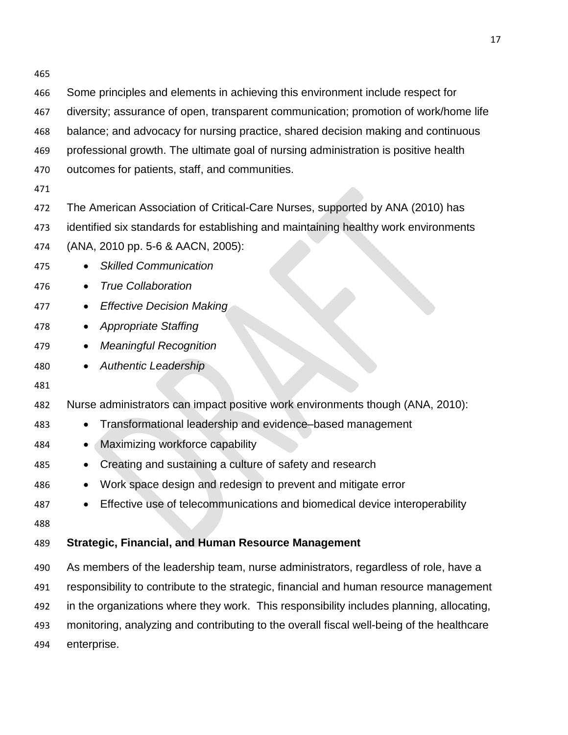Some principles and elements in achieving this environment include respect for diversity; assurance of open, transparent communication; promotion of work/home life balance; and advocacy for nursing practice, shared decision making and continuous professional growth. The ultimate goal of nursing administration is positive health outcomes for patients, staff, and communities. The American Association of Critical-Care Nurses, supported by ANA (2010) has identified six standards for establishing and maintaining healthy work environments (ANA, 2010 pp. 5-6 & AACN, 2005): • *Skilled Communication* • *True Collaboration* • *Effective Decision Making* • *Appropriate Staffing* • *Meaningful Recognition* • *Authentic Leadership* Nurse administrators can impact positive work environments though (ANA, 2010): • Transformational leadership and evidence–based management • Maximizing workforce capability • Creating and sustaining a culture of safety and research • Work space design and redesign to prevent and mitigate error • Effective use of telecommunications and biomedical device interoperability **Strategic, Financial, and Human Resource Management** As members of the leadership team, nurse administrators, regardless of role, have a responsibility to contribute to the strategic, financial and human resource management in the organizations where they work. This responsibility includes planning, allocating, monitoring, analyzing and contributing to the overall fiscal well-being of the healthcare enterprise.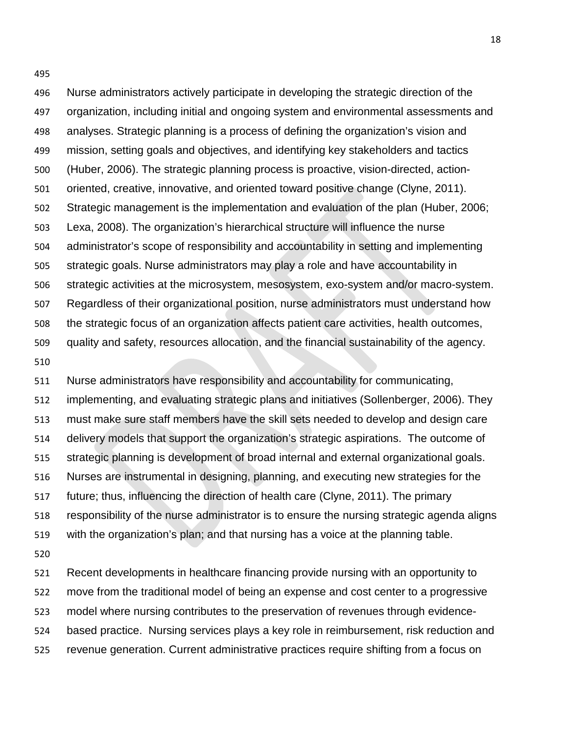Nurse administrators actively participate in developing the strategic direction of the organization, including initial and ongoing system and environmental assessments and analyses. Strategic planning is a process of defining the organization's vision and mission, setting goals and objectives, and identifying key stakeholders and tactics (Huber, 2006). The strategic planning process is proactive, vision-directed, action- oriented, creative, innovative, and oriented toward positive change (Clyne, 2011). Strategic management is the implementation and evaluation of the plan (Huber, 2006; Lexa, 2008). The organization's hierarchical structure will influence the nurse administrator's scope of responsibility and accountability in setting and implementing strategic goals. Nurse administrators may play a role and have accountability in strategic activities at the microsystem, mesosystem, exo-system and/or macro-system. Regardless of their organizational position, nurse administrators must understand how the strategic focus of an organization affects patient care activities, health outcomes, quality and safety, resources allocation, and the financial sustainability of the agency. 

 Nurse administrators have responsibility and accountability for communicating, implementing, and evaluating strategic plans and initiatives (Sollenberger, 2006). They must make sure staff members have the skill sets needed to develop and design care delivery models that support the organization's strategic aspirations. The outcome of strategic planning is development of broad internal and external organizational goals. Nurses are instrumental in designing, planning, and executing new strategies for the future; thus, influencing the direction of health care (Clyne, 2011). The primary responsibility of the nurse administrator is to ensure the nursing strategic agenda aligns with the organization's plan; and that nursing has a voice at the planning table. 

 Recent developments in healthcare financing provide nursing with an opportunity to move from the traditional model of being an expense and cost center to a progressive model where nursing contributes to the preservation of revenues through evidence- based practice. Nursing services plays a key role in reimbursement, risk reduction and revenue generation. Current administrative practices require shifting from a focus on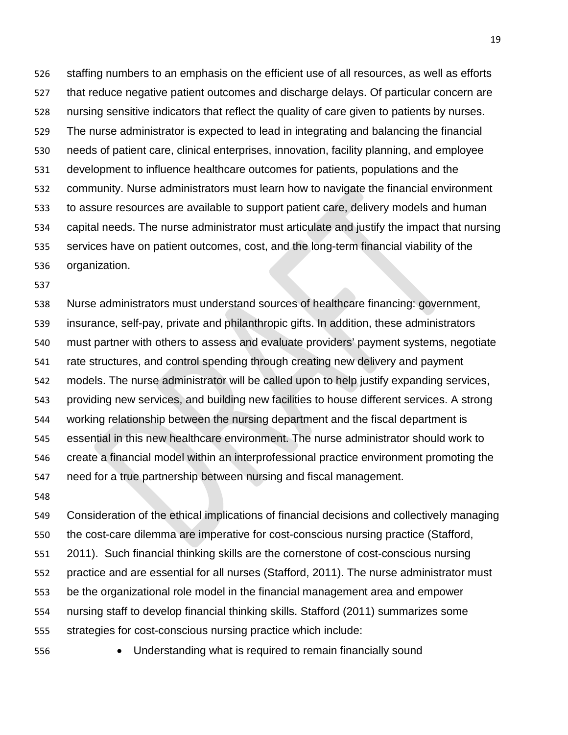staffing numbers to an emphasis on the efficient use of all resources, as well as efforts that reduce negative patient outcomes and discharge delays. Of particular concern are nursing sensitive indicators that reflect the quality of care given to patients by nurses. The nurse administrator is expected to lead in integrating and balancing the financial needs of patient care, clinical enterprises, innovation, facility planning, and employee development to influence healthcare outcomes for patients, populations and the community. Nurse administrators must learn how to navigate the financial environment to assure resources are available to support patient care, delivery models and human capital needs. The nurse administrator must articulate and justify the impact that nursing services have on patient outcomes, cost, and the long-term financial viability of the organization.

 Nurse administrators must understand sources of healthcare financing: government, insurance, self-pay, private and philanthropic gifts. In addition, these administrators must partner with others to assess and evaluate providers' payment systems, negotiate rate structures, and control spending through creating new delivery and payment models. The nurse administrator will be called upon to help justify expanding services, providing new services, and building new facilities to house different services. A strong working relationship between the nursing department and the fiscal department is essential in this new healthcare environment. The nurse administrator should work to create a financial model within an interprofessional practice environment promoting the need for a true partnership between nursing and fiscal management.

 Consideration of the ethical implications of financial decisions and collectively managing the cost-care dilemma are imperative for cost-conscious nursing practice (Stafford, 2011). Such financial thinking skills are the cornerstone of cost-conscious nursing practice and are essential for all nurses (Stafford, 2011). The nurse administrator must be the organizational role model in the financial management area and empower nursing staff to develop financial thinking skills. Stafford (2011) summarizes some strategies for cost-conscious nursing practice which include:

- 
- Understanding what is required to remain financially sound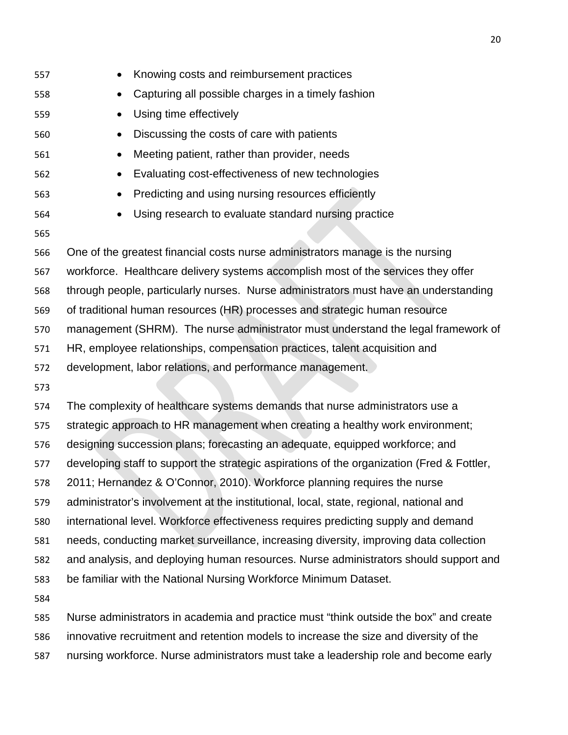| 557 | Knowing costs and reimbursement practices                                                  |
|-----|--------------------------------------------------------------------------------------------|
| 558 | Capturing all possible charges in a timely fashion                                         |
| 559 | Using time effectively                                                                     |
| 560 | Discussing the costs of care with patients<br>$\bullet$                                    |
| 561 | Meeting patient, rather than provider, needs<br>$\bullet$                                  |
| 562 | Evaluating cost-effectiveness of new technologies                                          |
| 563 | Predicting and using nursing resources efficiently                                         |
| 564 | Using research to evaluate standard nursing practice                                       |
| 565 |                                                                                            |
| 566 | One of the greatest financial costs nurse administrators manage is the nursing             |
| 567 | workforce. Healthcare delivery systems accomplish most of the services they offer          |
| 568 | through people, particularly nurses. Nurse administrators must have an understanding       |
| 569 | of traditional human resources (HR) processes and strategic human resource                 |
| 570 | management (SHRM). The nurse administrator must understand the legal framework of          |
| 571 | HR, employee relationships, compensation practices, talent acquisition and                 |
| 572 | development, labor relations, and performance management.                                  |
| 573 |                                                                                            |
| 574 | The complexity of healthcare systems demands that nurse administrators use a               |
| 575 | strategic approach to HR management when creating a healthy work environment;              |
| 576 | designing succession plans; forecasting an adequate, equipped workforce; and               |
| 577 | developing staff to support the strategic aspirations of the organization (Fred & Fottler, |
| 578 | 2011; Hernandez & O'Connor, 2010). Workforce planning requires the nurse                   |
| 579 | administrator's involvement at the institutional, local, state, regional, national and     |
| 580 | international level. Workforce effectiveness requires predicting supply and demand         |
| 581 | needs, conducting market surveillance, increasing diversity, improving data collection     |
| 582 | and analysis, and deploying human resources. Nurse administrators should support and       |
| 583 | be familiar with the National Nursing Workforce Minimum Dataset.                           |

 Nurse administrators in academia and practice must "think outside the box" and create innovative recruitment and retention models to increase the size and diversity of the nursing workforce. Nurse administrators must take a leadership role and become early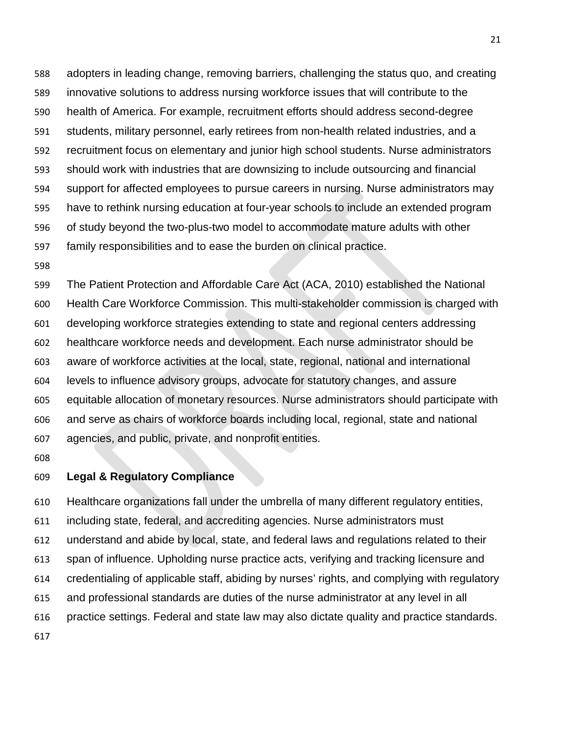adopters in leading change, removing barriers, challenging the status quo, and creating innovative solutions to address nursing workforce issues that will contribute to the health of America. For example, recruitment efforts should address second-degree students, military personnel, early retirees from non-health related industries, and a recruitment focus on elementary and junior high school students. Nurse administrators should work with industries that are downsizing to include outsourcing and financial support for affected employees to pursue careers in nursing. Nurse administrators may have to rethink nursing education at four-year schools to include an extended program of study beyond the two-plus-two model to accommodate mature adults with other family responsibilities and to ease the burden on clinical practice.

 The Patient Protection and Affordable Care Act (ACA, 2010) established the National Health Care Workforce Commission. This multi-stakeholder commission is charged with developing workforce strategies extending to state and regional centers addressing healthcare workforce needs and development. Each nurse administrator should be aware of workforce activities at the local, state, regional, national and international levels to influence advisory groups, advocate for statutory changes, and assure equitable allocation of monetary resources. Nurse administrators should participate with and serve as chairs of workforce boards including local, regional, state and national agencies, and public, private, and nonprofit entities.

### **Legal & Regulatory Compliance**

 Healthcare organizations fall under the umbrella of many different regulatory entities, including state, federal, and accrediting agencies. Nurse administrators must understand and abide by local, state, and federal laws and regulations related to their span of influence. Upholding nurse practice acts, verifying and tracking licensure and credentialing of applicable staff, abiding by nurses' rights, and complying with regulatory and professional standards are duties of the nurse administrator at any level in all practice settings. Federal and state law may also dictate quality and practice standards.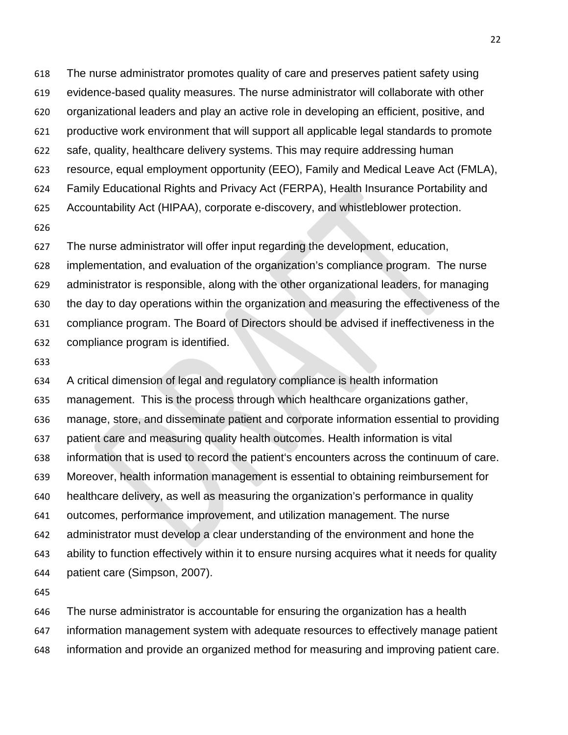evidence-based quality measures. The nurse administrator will collaborate with other organizational leaders and play an active role in developing an efficient, positive, and productive work environment that will support all applicable legal standards to promote safe, quality, healthcare delivery systems. This may require addressing human resource, equal employment opportunity (EEO), Family and Medical Leave Act (FMLA), Family Educational Rights and Privacy Act (FERPA), Health Insurance Portability and Accountability Act (HIPAA), corporate e-discovery, and whistleblower protection. The nurse administrator will offer input regarding the development, education,

The nurse administrator promotes quality of care and preserves patient safety using

 implementation, and evaluation of the organization's compliance program. The nurse administrator is responsible, along with the other organizational leaders, for managing the day to day operations within the organization and measuring the effectiveness of the compliance program. The Board of Directors should be advised if ineffectiveness in the compliance program is identified.

 A critical dimension of legal and regulatory compliance is health information management. This is the process through which healthcare organizations gather, manage, store, and disseminate patient and corporate information essential to providing patient care and measuring quality health outcomes. Health information is vital information that is used to record the patient's encounters across the continuum of care. Moreover, health information management is essential to obtaining reimbursement for healthcare delivery, as well as measuring the organization's performance in quality outcomes, performance improvement, and utilization management. The nurse administrator must develop a clear understanding of the environment and hone the ability to function effectively within it to ensure nursing acquires what it needs for quality patient care (Simpson, 2007).

 The nurse administrator is accountable for ensuring the organization has a health information management system with adequate resources to effectively manage patient

information and provide an organized method for measuring and improving patient care.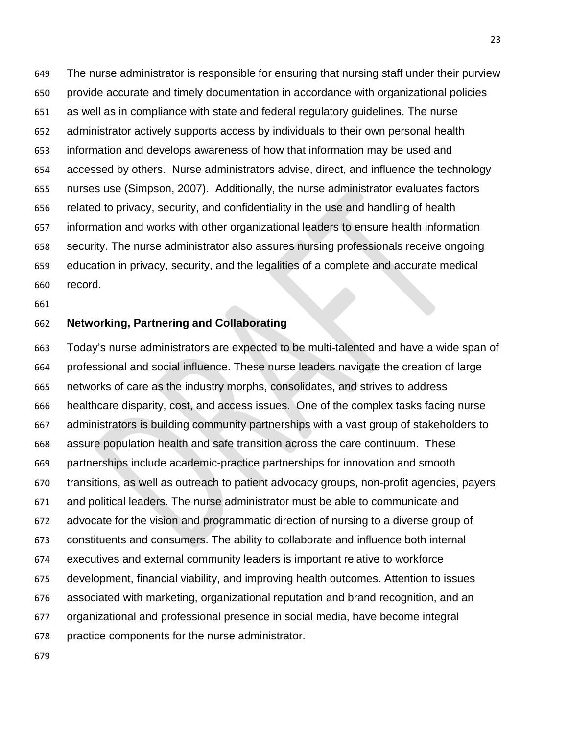The nurse administrator is responsible for ensuring that nursing staff under their purview provide accurate and timely documentation in accordance with organizational policies as well as in compliance with state and federal regulatory guidelines. The nurse administrator actively supports access by individuals to their own personal health information and develops awareness of how that information may be used and accessed by others. Nurse administrators advise, direct, and influence the technology nurses use (Simpson, 2007). Additionally, the nurse administrator evaluates factors related to privacy, security, and confidentiality in the use and handling of health information and works with other organizational leaders to ensure health information security. The nurse administrator also assures nursing professionals receive ongoing education in privacy, security, and the legalities of a complete and accurate medical record.

### **Networking, Partnering and Collaborating**

 Today's nurse administrators are expected to be multi-talented and have a wide span of professional and social influence. These nurse leaders navigate the creation of large networks of care as the industry morphs, consolidates, and strives to address healthcare disparity, cost, and access issues. One of the complex tasks facing nurse administrators is building community partnerships with a vast group of stakeholders to assure population health and safe transition across the care continuum. These partnerships include academic-practice partnerships for innovation and smooth transitions, as well as outreach to patient advocacy groups, non-profit agencies, payers, and political leaders. The nurse administrator must be able to communicate and advocate for the vision and programmatic direction of nursing to a diverse group of constituents and consumers. The ability to collaborate and influence both internal executives and external community leaders is important relative to workforce development, financial viability, and improving health outcomes. Attention to issues associated with marketing, organizational reputation and brand recognition, and an organizational and professional presence in social media, have become integral practice components for the nurse administrator.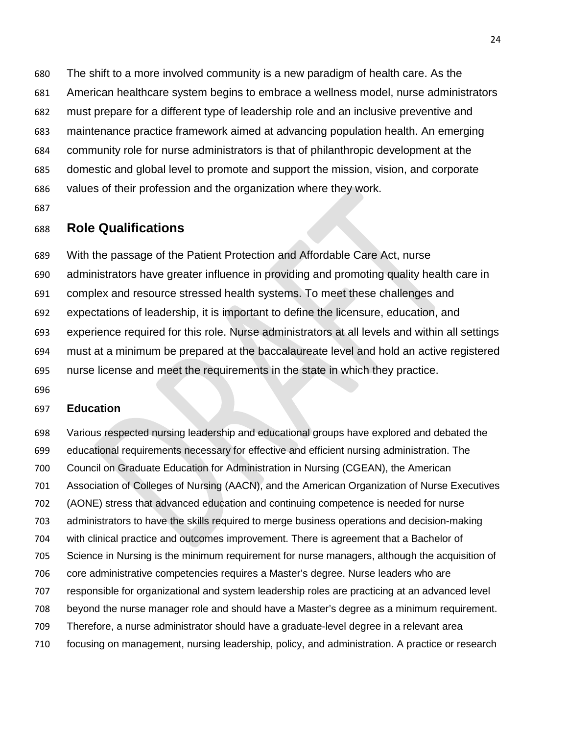The shift to a more involved community is a new paradigm of health care. As the American healthcare system begins to embrace a wellness model, nurse administrators must prepare for a different type of leadership role and an inclusive preventive and maintenance practice framework aimed at advancing population health. An emerging community role for nurse administrators is that of philanthropic development at the domestic and global level to promote and support the mission, vision, and corporate values of their profession and the organization where they work.

## **Role Qualifications**

 With the passage of the Patient Protection and Affordable Care Act, nurse administrators have greater influence in providing and promoting quality health care in complex and resource stressed health systems. To meet these challenges and expectations of leadership, it is important to define the licensure, education, and experience required for this role. Nurse administrators at all levels and within all settings must at a minimum be prepared at the baccalaureate level and hold an active registered nurse license and meet the requirements in the state in which they practice.

#### **Education**

 Various respected nursing leadership and educational groups have explored and debated the educational requirements necessary for effective and efficient nursing administration. The Council on Graduate Education for Administration in Nursing (CGEAN), the American Association of Colleges of Nursing (AACN), and the American Organization of Nurse Executives (AONE) stress that advanced education and continuing competence is needed for nurse administrators to have the skills required to merge business operations and decision-making with clinical practice and outcomes improvement. There is agreement that a Bachelor of Science in Nursing is the minimum requirement for nurse managers, although the acquisition of core administrative competencies requires a Master's degree. Nurse leaders who are responsible for organizational and system leadership roles are practicing at an advanced level beyond the nurse manager role and should have a Master's degree as a minimum requirement. Therefore, a nurse administrator should have a graduate-level degree in a relevant area focusing on management, nursing leadership, policy, and administration. A practice or research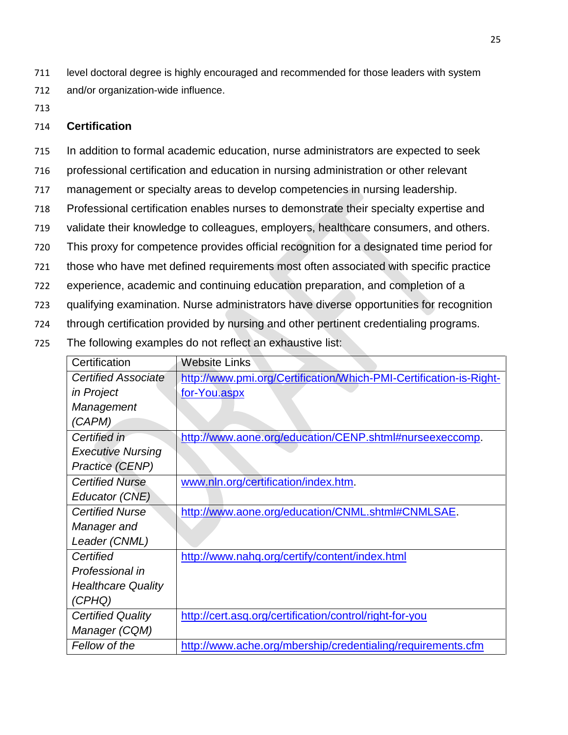711 level doctoral degree is highly encouraged and recommended for those leaders with system 712 and/or organization-wide influence.

713

### 714 **Certification**

715 In addition to formal academic education, nurse administrators are expected to seek

- 716 professional certification and education in nursing administration or other relevant
- 717 management or specialty areas to develop competencies in nursing leadership.
- 718 Professional certification enables nurses to demonstrate their specialty expertise and
- 719 validate their knowledge to colleagues, employers, healthcare consumers, and others.
- 720 This proxy for competence provides official recognition for a designated time period for
- 721 those who have met defined requirements most often associated with specific practice
- 722 experience, academic and continuing education preparation, and completion of a
- 723 qualifying examination. Nurse administrators have diverse opportunities for recognition
- 724 through certification provided by nursing and other pertinent credentialing programs.
- 725 The following examples do not reflect an exhaustive list:

| Certification              | <b>Website Links</b>                                               |
|----------------------------|--------------------------------------------------------------------|
| <b>Certified Associate</b> | http://www.pmi.org/Certification/Which-PMI-Certification-is-Right- |
| in Project                 | for-You.aspx                                                       |
| Management                 |                                                                    |
| (CAPM)                     |                                                                    |
| Certified in               | http://www.aone.org/education/CENP.shtml#nurseexeccomp.            |
| <b>Executive Nursing</b>   |                                                                    |
| Practice (CENP)            |                                                                    |
| <b>Certified Nurse</b>     | www.nln.org/certification/index.htm.                               |
| Educator (CNE)             |                                                                    |
| <b>Certified Nurse</b>     | http://www.aone.org/education/CNML.shtml#CNMLSAE.                  |
| Manager and                |                                                                    |
| Leader (CNML)              |                                                                    |
| Certified                  | http://www.nahq.org/certify/content/index.html                     |
| Professional in            |                                                                    |
| <b>Healthcare Quality</b>  |                                                                    |
| (CPHQ)                     |                                                                    |
| <b>Certified Quality</b>   | http://cert.asq.org/certification/control/right-for-you            |
| Manager (CQM)              |                                                                    |
| Fellow of the              | http://www.ache.org/mbership/credentialing/requirements.cfm        |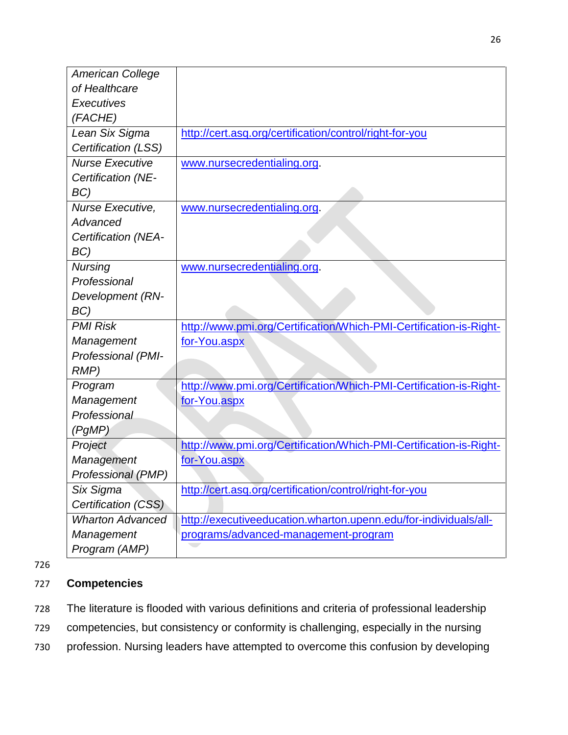| <b>American College</b> |                                                                    |
|-------------------------|--------------------------------------------------------------------|
| of Healthcare           |                                                                    |
| Executives              |                                                                    |
| (FACHE)                 |                                                                    |
| Lean Six Sigma          | http://cert.asq.org/certification/control/right-for-you            |
| Certification (LSS)     |                                                                    |
| <b>Nurse Executive</b>  | www.nursecredentialing.org.                                        |
| Certification (NE-      |                                                                    |
| BC)                     |                                                                    |
| Nurse Executive,        | www.nursecredentialing.org.                                        |
| Advanced                |                                                                    |
| Certification (NEA-     |                                                                    |
| BC)                     |                                                                    |
| <b>Nursing</b>          | www.nursecredentialing.org.                                        |
| Professional            |                                                                    |
| Development (RN-        |                                                                    |
| BC)                     |                                                                    |
| <b>PMI Risk</b>         | http://www.pmi.org/Certification/Which-PMI-Certification-is-Right- |
| Management              | for-You.aspx                                                       |
| Professional (PMI-      |                                                                    |
| RMP)                    |                                                                    |
| Program                 | http://www.pmi.org/Certification/Which-PMI-Certification-is-Right- |
| Management              | for-You.aspx                                                       |
| Professional            |                                                                    |
| (PgMP)                  |                                                                    |
| Project                 | http://www.pmi.org/Certification/Which-PMI-Certification-is-Right- |
| Management              | for-You.aspx                                                       |
| Professional (PMP)      |                                                                    |
| Six Sigma               | http://cert.asq.org/certification/control/right-for-you            |
| Certification (CSS)     |                                                                    |
| <b>Wharton Advanced</b> | http://executiveeducation.wharton.upenn.edu/for-individuals/all-   |
| Management              | programs/advanced-management-program                               |
| Program (AMP)           |                                                                    |

## 727 **Competencies**

- 728 The literature is flooded with various definitions and criteria of professional leadership
- 729 competencies, but consistency or conformity is challenging, especially in the nursing
- 730 profession. Nursing leaders have attempted to overcome this confusion by developing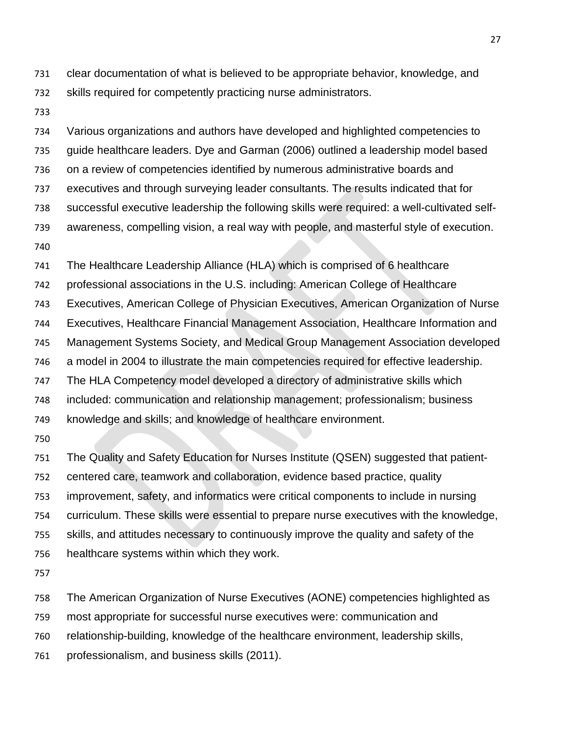clear documentation of what is believed to be appropriate behavior, knowledge, and skills required for competently practicing nurse administrators.

 Various organizations and authors have developed and highlighted competencies to guide healthcare leaders. Dye and Garman (2006) outlined a leadership model based on a review of competencies identified by numerous administrative boards and executives and through surveying leader consultants. The results indicated that for successful executive leadership the following skills were required: a well-cultivated self- awareness, compelling vision, a real way with people, and masterful style of execution. 

The Healthcare Leadership Alliance (HLA) which is comprised of 6 healthcare

professional associations in the U.S. including: American College of Healthcare

Executives, American College of Physician Executives, American Organization of Nurse

Executives, Healthcare Financial Management Association, Healthcare Information and

Management Systems Society, and Medical Group Management Association developed

a model in 2004 to illustrate the main competencies required for effective leadership.

The HLA Competency model developed a directory of administrative skills which

included: communication and relationship management; professionalism; business

knowledge and skills; and knowledge of healthcare environment.

 The Quality and Safety Education for Nurses Institute (QSEN) suggested that patient- centered care, teamwork and collaboration, evidence based practice, quality improvement, safety, and informatics were critical components to include in nursing curriculum. These skills were essential to prepare nurse executives with the knowledge, skills, and attitudes necessary to continuously improve the quality and safety of the healthcare systems within which they work.

The American Organization of Nurse Executives (AONE) competencies highlighted as

most appropriate for successful nurse executives were: communication and

relationship-building, knowledge of the healthcare environment, leadership skills,

professionalism, and business skills (2011).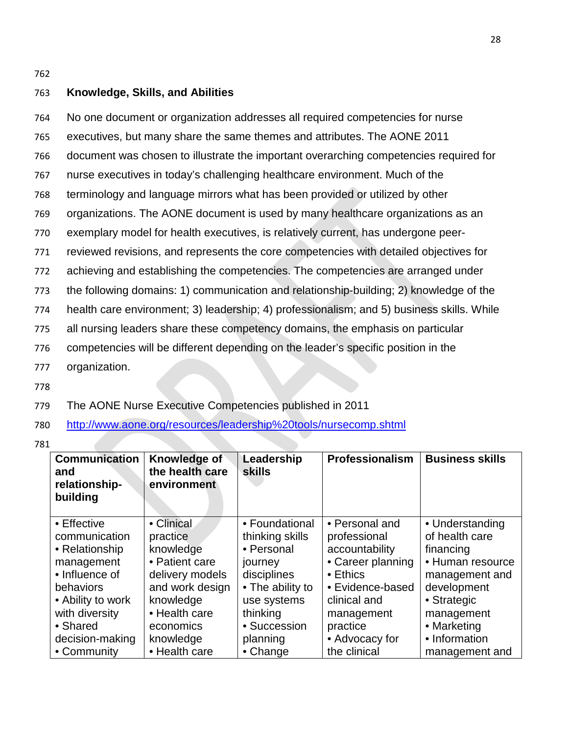### 763 **Knowledge, Skills, and Abilities**

 No one document or organization addresses all required competencies for nurse executives, but many share the same themes and attributes. The AONE 2011 document was chosen to illustrate the important overarching competencies required for nurse executives in today's challenging healthcare environment. Much of the terminology and language mirrors what has been provided or utilized by other organizations. The AONE document is used by many healthcare organizations as an exemplary model for health executives, is relatively current, has undergone peer- reviewed revisions, and represents the core competencies with detailed objectives for achieving and establishing the competencies. The competencies are arranged under the following domains: 1) communication and relationship-building; 2) knowledge of the health care environment; 3) leadership; 4) professionalism; and 5) business skills. While all nursing leaders share these competency domains, the emphasis on particular competencies will be different depending on the leader's specific position in the organization.

778

779 The AONE Nurse Executive Competencies published in 2011

780 <http://www.aone.org/resources/leadership%20tools/nursecomp.shtml>

781

| <b>Communication</b><br>and<br>relationship-<br>building | Knowledge of<br>the health care<br>environment | Leadership<br><b>skills</b> | Professionalism   | <b>Business skills</b> |
|----------------------------------------------------------|------------------------------------------------|-----------------------------|-------------------|------------------------|
| $\bullet$ Effective                                      | • Clinical                                     | • Foundational              | • Personal and    | • Understanding        |
| communication                                            | practice                                       | thinking skills             | professional      | of health care         |
| • Relationship                                           | knowledge                                      | • Personal                  | accountability    | financing              |
| management                                               | • Patient care                                 | journey                     | • Career planning | • Human resource       |
| • Influence of                                           | delivery models                                | disciplines                 | $\bullet$ Ethics  | management and         |
| behaviors                                                | and work design                                | • The ability to            | • Evidence-based  | development            |
| • Ability to work                                        | knowledge                                      | use systems                 | clinical and      | • Strategic            |
| with diversity                                           | • Health care                                  | thinking                    | management        | management             |
| • Shared                                                 | economics                                      | • Succession                | practice          | • Marketing            |
| decision-making                                          | knowledge                                      | planning                    | • Advocacy for    | • Information          |
| • Community                                              | • Health care                                  | • Change                    | the clinical      | management and         |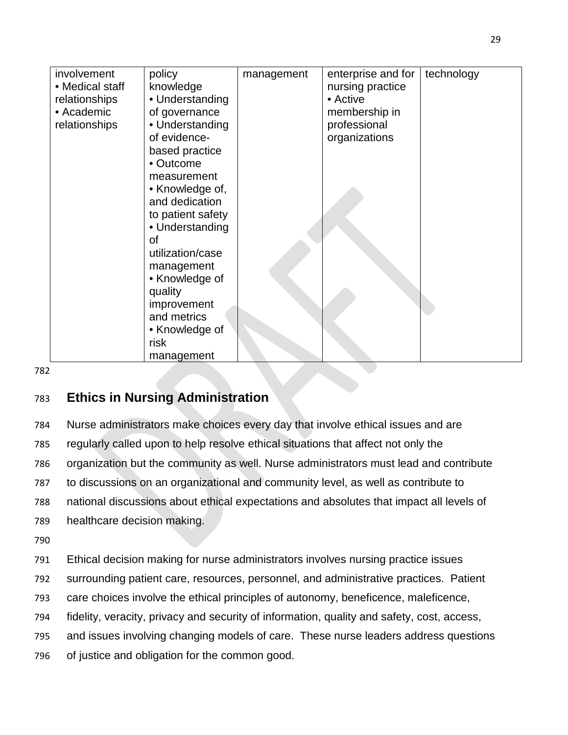| involvement     | policy            | management | enterprise and for | technology |
|-----------------|-------------------|------------|--------------------|------------|
| • Medical staff | knowledge         |            | nursing practice   |            |
| relationships   | • Understanding   |            | • Active           |            |
| • Academic      | of governance     |            | membership in      |            |
| relationships   | • Understanding   |            | professional       |            |
|                 | of evidence-      |            | organizations      |            |
|                 | based practice    |            |                    |            |
|                 | • Outcome         |            |                    |            |
|                 | measurement       |            |                    |            |
|                 | • Knowledge of,   |            |                    |            |
|                 | and dedication    |            |                    |            |
|                 | to patient safety |            |                    |            |
|                 | • Understanding   |            |                    |            |
|                 | <b>of</b>         |            |                    |            |
|                 | utilization/case  |            |                    |            |
|                 | management        |            |                    |            |
|                 | • Knowledge of    |            |                    |            |
|                 | quality           |            |                    |            |
|                 | improvement       |            |                    |            |
|                 | and metrics       |            |                    |            |
|                 | • Knowledge of    |            |                    |            |
|                 | risk              |            |                    |            |
|                 | management        |            |                    |            |

## 783 **Ethics in Nursing Administration**

 Nurse administrators make choices every day that involve ethical issues and are regularly called upon to help resolve ethical situations that affect not only the organization but the community as well. Nurse administrators must lead and contribute to discussions on an organizational and community level, as well as contribute to national discussions about ethical expectations and absolutes that impact all levels of healthcare decision making.

790

791 Ethical decision making for nurse administrators involves nursing practice issues 792 surrounding patient care, resources, personnel, and administrative practices. Patient

793 care choices involve the ethical principles of autonomy, beneficence, maleficence,

794 fidelity, veracity, privacy and security of information, quality and safety, cost, access,

795 and issues involving changing models of care. These nurse leaders address questions

796 of justice and obligation for the common good.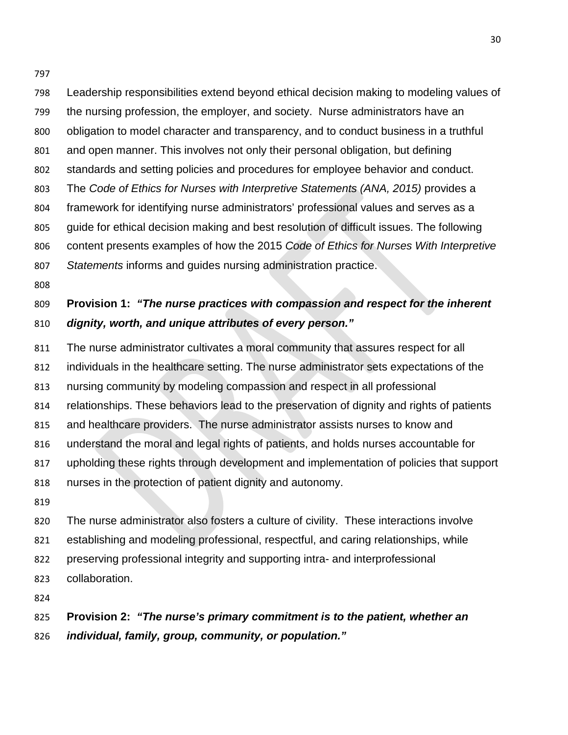Leadership responsibilities extend beyond ethical decision making to modeling values of the nursing profession, the employer, and society. Nurse administrators have an obligation to model character and transparency, and to conduct business in a truthful and open manner. This involves not only their personal obligation, but defining standards and setting policies and procedures for employee behavior and conduct. The *Code of Ethics for Nurses with Interpretive Statements (ANA, 2015)* provides a framework for identifying nurse administrators' professional values and serves as a guide for ethical decision making and best resolution of difficult issues. The following content presents examples of how the 2015 *Code of Ethics for Nurses With Interpretive Statements* informs and guides nursing administration practice.

# **Provision 1:** *"The nurse practices with compassion and respect for the inherent dignity, worth, and unique attributes of every person."*

- The nurse administrator cultivates a moral community that assures respect for all
- individuals in the healthcare setting. The nurse administrator sets expectations of the
- nursing community by modeling compassion and respect in all professional
- relationships. These behaviors lead to the preservation of dignity and rights of patients
- and healthcare providers. The nurse administrator assists nurses to know and
- understand the moral and legal rights of patients, and holds nurses accountable for
- upholding these rights through development and implementation of policies that support
- nurses in the protection of patient dignity and autonomy.
- 

 The nurse administrator also fosters a culture of civility. These interactions involve establishing and modeling professional, respectful, and caring relationships, while preserving professional integrity and supporting intra- and interprofessional collaboration.

## **Provision 2:** *"The nurse's primary commitment is to the patient, whether an individual, family, group, community, or population."*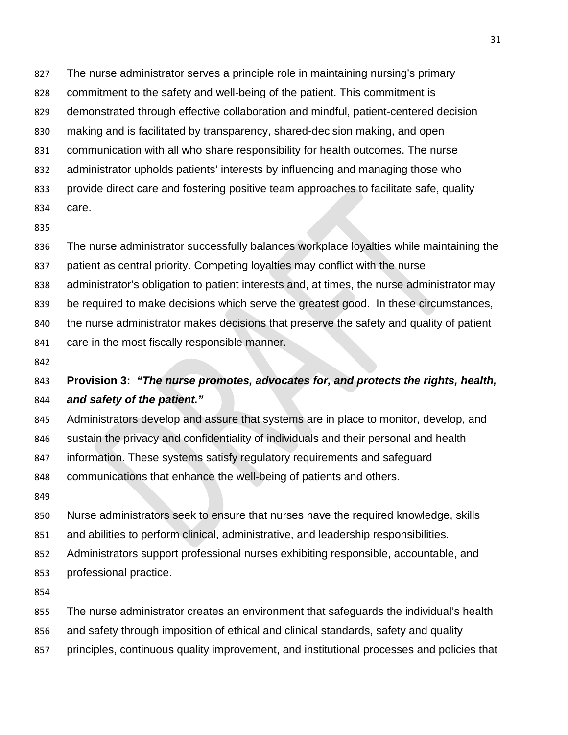The nurse administrator serves a principle role in maintaining nursing's primary

- commitment to the safety and well-being of the patient. This commitment is
- demonstrated through effective collaboration and mindful, patient-centered decision
- making and is facilitated by transparency, shared-decision making, and open
- communication with all who share responsibility for health outcomes. The nurse
- administrator upholds patients' interests by influencing and managing those who
- provide direct care and fostering positive team approaches to facilitate safe, quality
- care.
- 
- The nurse administrator successfully balances workplace loyalties while maintaining the
- patient as central priority. Competing loyalties may conflict with the nurse
- administrator's obligation to patient interests and, at times, the nurse administrator may
- be required to make decisions which serve the greatest good. In these circumstances,
- the nurse administrator makes decisions that preserve the safety and quality of patient
- care in the most fiscally responsible manner.
- 

## **Provision 3:** *"The nurse promotes, advocates for, and protects the rights, health, and safety of the patient."*

- Administrators develop and assure that systems are in place to monitor, develop, and
- sustain the privacy and confidentiality of individuals and their personal and health
- information. These systems satisfy regulatory requirements and safeguard
- communications that enhance the well-being of patients and others.
- 
- Nurse administrators seek to ensure that nurses have the required knowledge, skills
- and abilities to perform clinical, administrative, and leadership responsibilities.
- Administrators support professional nurses exhibiting responsible, accountable, and
- professional practice.
- 
- The nurse administrator creates an environment that safeguards the individual's health
- and safety through imposition of ethical and clinical standards, safety and quality
- principles, continuous quality improvement, and institutional processes and policies that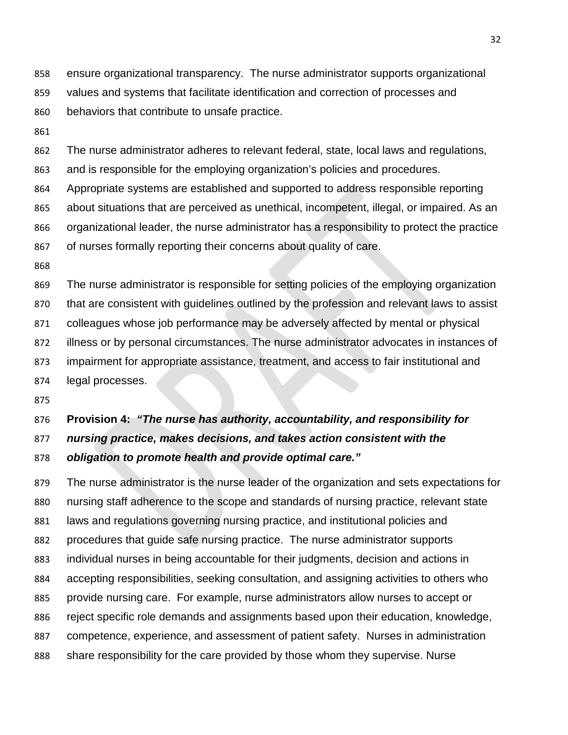ensure organizational transparency. The nurse administrator supports organizational values and systems that facilitate identification and correction of processes and

- behaviors that contribute to unsafe practice.
- 

The nurse administrator adheres to relevant federal, state, local laws and regulations,

and is responsible for the employing organization's policies and procedures.

Appropriate systems are established and supported to address responsible reporting

about situations that are perceived as unethical, incompetent, illegal, or impaired. As an

organizational leader, the nurse administrator has a responsibility to protect the practice

of nurses formally reporting their concerns about quality of care.

 The nurse administrator is responsible for setting policies of the employing organization that are consistent with guidelines outlined by the profession and relevant laws to assist colleagues whose job performance may be adversely affected by mental or physical illness or by personal circumstances. The nurse administrator advocates in instances of impairment for appropriate assistance, treatment, and access to fair institutional and legal processes.

# **Provision 4:** *"The nurse has authority, accountability, and responsibility for nursing practice, makes decisions, and takes action consistent with the obligation to promote health and provide optimal care."*

 The nurse administrator is the nurse leader of the organization and sets expectations for nursing staff adherence to the scope and standards of nursing practice, relevant state laws and regulations governing nursing practice, and institutional policies and procedures that guide safe nursing practice. The nurse administrator supports individual nurses in being accountable for their judgments, decision and actions in accepting responsibilities, seeking consultation, and assigning activities to others who provide nursing care. For example, nurse administrators allow nurses to accept or reject specific role demands and assignments based upon their education, knowledge, competence, experience, and assessment of patient safety. Nurses in administration share responsibility for the care provided by those whom they supervise. Nurse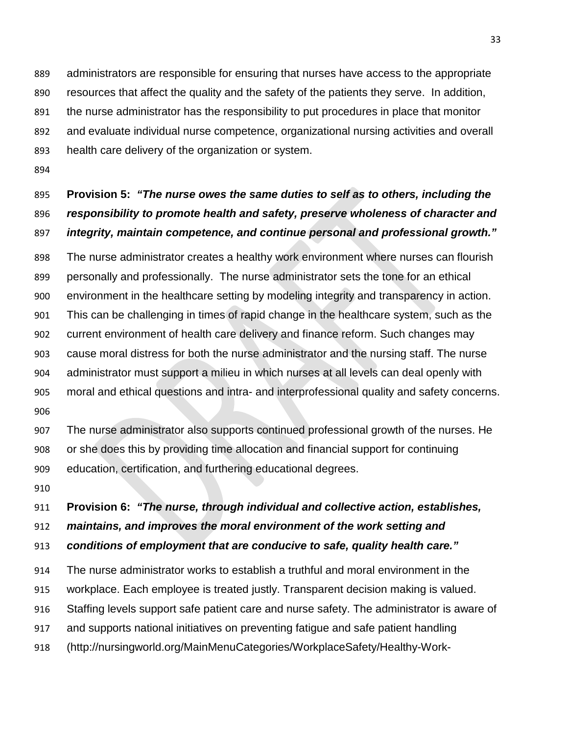administrators are responsible for ensuring that nurses have access to the appropriate resources that affect the quality and the safety of the patients they serve. In addition, the nurse administrator has the responsibility to put procedures in place that monitor and evaluate individual nurse competence, organizational nursing activities and overall health care delivery of the organization or system.

# **Provision 5:** *"The nurse owes the same duties to self as to others, including the responsibility to promote health and safety, preserve wholeness of character and integrity, maintain competence, and continue personal and professional growth."*

 The nurse administrator creates a healthy work environment where nurses can flourish personally and professionally. The nurse administrator sets the tone for an ethical environment in the healthcare setting by modeling integrity and transparency in action. This can be challenging in times of rapid change in the healthcare system, such as the current environment of health care delivery and finance reform. Such changes may cause moral distress for both the nurse administrator and the nursing staff. The nurse administrator must support a milieu in which nurses at all levels can deal openly with moral and ethical questions and intra- and interprofessional quality and safety concerns. 

 The nurse administrator also supports continued professional growth of the nurses. He or she does this by providing time allocation and financial support for continuing education, certification, and furthering educational degrees.

#### **Provision 6:** *"The nurse, through individual and collective action, establishes,*

*maintains, and improves the moral environment of the work setting and* 

*conditions of employment that are conducive to safe, quality health care."*

 The nurse administrator works to establish a truthful and moral environment in the workplace. Each employee is treated justly. Transparent decision making is valued. Staffing levels support safe patient care and nurse safety. The administrator is aware of and supports national initiatives on preventing fatigue and safe patient handling (http://nursingworld.org/MainMenuCategories/WorkplaceSafety/Healthy-Work-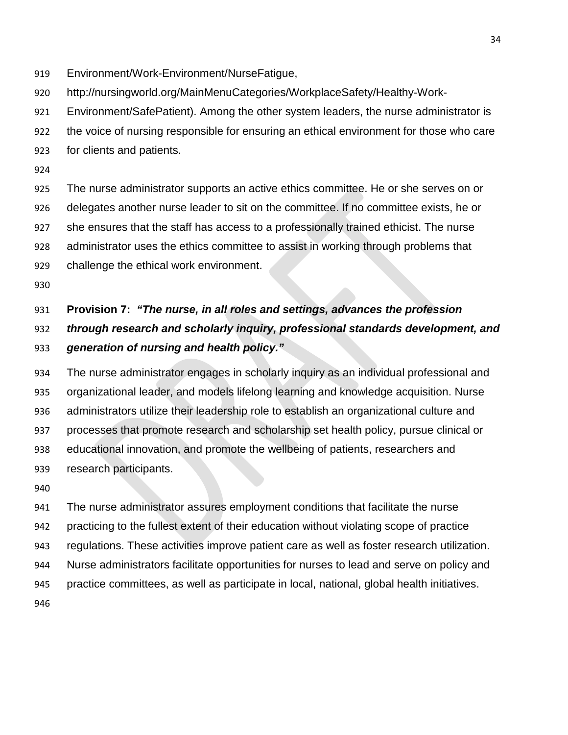- Environment/Work-Environment/NurseFatigue,
- http://nursingworld.org/MainMenuCategories/WorkplaceSafety/Healthy-Work-
- Environment/SafePatient). Among the other system leaders, the nurse administrator is
- the voice of nursing responsible for ensuring an ethical environment for those who care
- for clients and patients.
- 

 The nurse administrator supports an active ethics committee. He or she serves on or delegates another nurse leader to sit on the committee. If no committee exists, he or she ensures that the staff has access to a professionally trained ethicist. The nurse administrator uses the ethics committee to assist in working through problems that challenge the ethical work environment.

# **Provision 7:** *"The nurse, in all roles and settings, advances the profession through research and scholarly inquiry, professional standards development, and generation of nursing and health policy."*

 The nurse administrator engages in scholarly inquiry as an individual professional and organizational leader, and models lifelong learning and knowledge acquisition. Nurse administrators utilize their leadership role to establish an organizational culture and processes that promote research and scholarship set health policy, pursue clinical or educational innovation, and promote the wellbeing of patients, researchers and research participants.

 The nurse administrator assures employment conditions that facilitate the nurse practicing to the fullest extent of their education without violating scope of practice regulations. These activities improve patient care as well as foster research utilization. Nurse administrators facilitate opportunities for nurses to lead and serve on policy and practice committees, as well as participate in local, national, global health initiatives.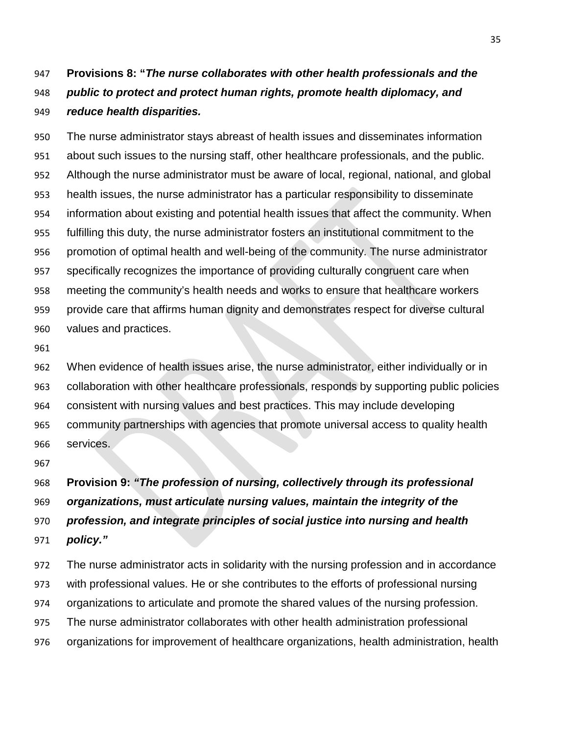# **Provisions 8: "***The nurse collaborates with other health professionals and the public to protect and protect human rights, promote health diplomacy, and reduce health disparities.*

 The nurse administrator stays abreast of health issues and disseminates information about such issues to the nursing staff, other healthcare professionals, and the public. Although the nurse administrator must be aware of local, regional, national, and global health issues, the nurse administrator has a particular responsibility to disseminate information about existing and potential health issues that affect the community. When fulfilling this duty, the nurse administrator fosters an institutional commitment to the promotion of optimal health and well-being of the community. The nurse administrator specifically recognizes the importance of providing culturally congruent care when meeting the community's health needs and works to ensure that healthcare workers provide care that affirms human dignity and demonstrates respect for diverse cultural values and practices.

 When evidence of health issues arise, the nurse administrator, either individually or in collaboration with other healthcare professionals, responds by supporting public policies consistent with nursing values and best practices. This may include developing community partnerships with agencies that promote universal access to quality health services.

 **Provision 9:** *"The profession of nursing, collectively through its professional organizations, must articulate nursing values, maintain the integrity of the profession, and integrate principles of social justice into nursing and health policy."*

 The nurse administrator acts in solidarity with the nursing profession and in accordance with professional values. He or she contributes to the efforts of professional nursing organizations to articulate and promote the shared values of the nursing profession. The nurse administrator collaborates with other health administration professional organizations for improvement of healthcare organizations, health administration, health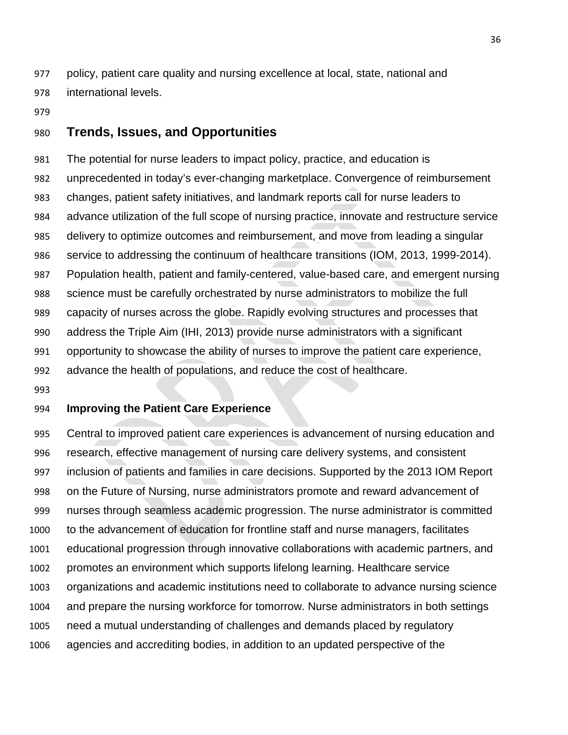policy, patient care quality and nursing excellence at local, state, national and international levels.

### **Trends, Issues, and Opportunities**

 The potential for nurse leaders to impact policy, practice, and education is unprecedented in today's ever-changing marketplace. Convergence of reimbursement changes, patient safety initiatives, and landmark reports call for nurse leaders to advance utilization of the full scope of nursing practice, innovate and restructure service delivery to optimize outcomes and reimbursement, and move from leading a singular service to addressing the continuum of healthcare transitions (IOM, 2013, 1999-2014). Population health, patient and family-centered, value-based care, and emergent nursing science must be carefully orchestrated by nurse administrators to mobilize the full capacity of nurses across the globe. Rapidly evolving structures and processes that address the Triple Aim (IHI, 2013) provide nurse administrators with a significant opportunity to showcase the ability of nurses to improve the patient care experience, advance the health of populations, and reduce the cost of healthcare.

#### **Improving the Patient Care Experience**

 Central to improved patient care experiences is advancement of nursing education and research, effective management of nursing care delivery systems, and consistent inclusion of patients and families in care decisions. Supported by the 2013 IOM Report on the Future of Nursing, nurse administrators promote and reward advancement of nurses through seamless academic progression. The nurse administrator is committed to the advancement of education for frontline staff and nurse managers, facilitates educational progression through innovative collaborations with academic partners, and promotes an environment which supports lifelong learning. Healthcare service organizations and academic institutions need to collaborate to advance nursing science and prepare the nursing workforce for tomorrow. Nurse administrators in both settings need a mutual understanding of challenges and demands placed by regulatory agencies and accrediting bodies, in addition to an updated perspective of the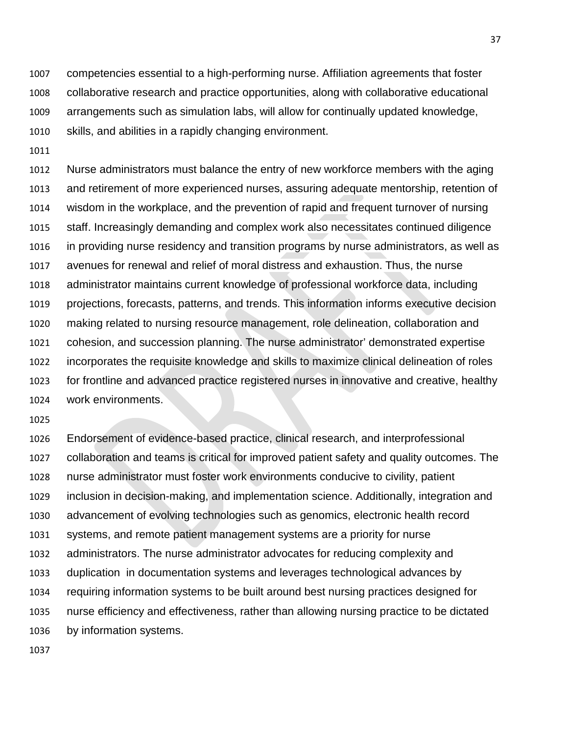competencies essential to a high-performing nurse. Affiliation agreements that foster collaborative research and practice opportunities, along with collaborative educational arrangements such as simulation labs, will allow for continually updated knowledge, skills, and abilities in a rapidly changing environment.

 Nurse administrators must balance the entry of new workforce members with the aging and retirement of more experienced nurses, assuring adequate mentorship, retention of wisdom in the workplace, and the prevention of rapid and frequent turnover of nursing staff. Increasingly demanding and complex work also necessitates continued diligence in providing nurse residency and transition programs by nurse administrators, as well as avenues for renewal and relief of moral distress and exhaustion. Thus, the nurse administrator maintains current knowledge of professional workforce data, including projections, forecasts, patterns, and trends. This information informs executive decision making related to nursing resource management, role delineation, collaboration and cohesion, and succession planning. The nurse administrator' demonstrated expertise incorporates the requisite knowledge and skills to maximize clinical delineation of roles for frontline and advanced practice registered nurses in innovative and creative, healthy work environments.

 Endorsement of evidence-based practice, clinical research, and interprofessional collaboration and teams is critical for improved patient safety and quality outcomes. The nurse administrator must foster work environments conducive to civility, patient inclusion in decision-making, and implementation science. Additionally, integration and advancement of evolving technologies such as genomics, electronic health record systems, and remote patient management systems are a priority for nurse administrators. The nurse administrator advocates for reducing complexity and duplication in documentation systems and leverages technological advances by requiring information systems to be built around best nursing practices designed for nurse efficiency and effectiveness, rather than allowing nursing practice to be dictated by information systems.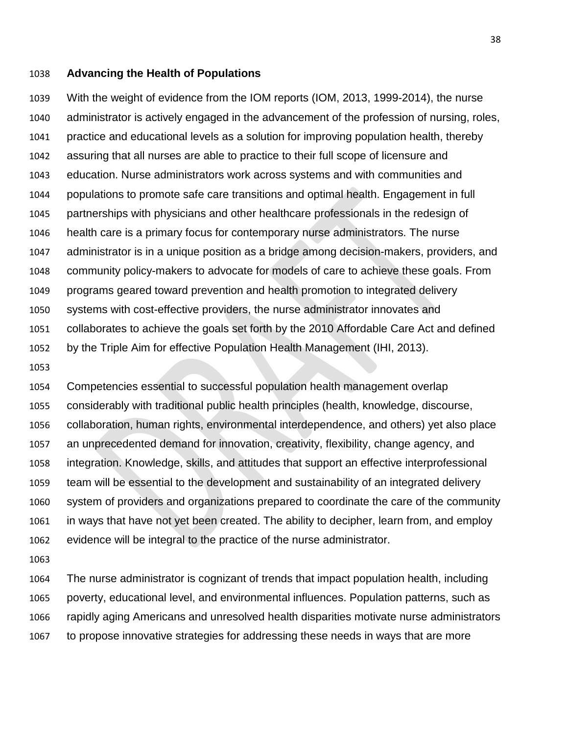#### **Advancing the Health of Populations**

 With the weight of evidence from the IOM reports (IOM, 2013, 1999-2014), the nurse administrator is actively engaged in the advancement of the profession of nursing, roles, practice and educational levels as a solution for improving population health, thereby assuring that all nurses are able to practice to their full scope of licensure and education. Nurse administrators work across systems and with communities and populations to promote safe care transitions and optimal health. Engagement in full partnerships with physicians and other healthcare professionals in the redesign of health care is a primary focus for contemporary nurse administrators. The nurse administrator is in a unique position as a bridge among decision-makers, providers, and community policy-makers to advocate for models of care to achieve these goals. From programs geared toward prevention and health promotion to integrated delivery systems with cost-effective providers, the nurse administrator innovates and collaborates to achieve the goals set forth by the 2010 Affordable Care Act and defined by the Triple Aim for effective Population Health Management (IHI, 2013).

 Competencies essential to successful population health management overlap considerably with traditional public health principles (health, knowledge, discourse, collaboration, human rights, environmental interdependence, and others) yet also place an unprecedented demand for innovation, creativity, flexibility, change agency, and integration. Knowledge, skills, and attitudes that support an effective interprofessional team will be essential to the development and sustainability of an integrated delivery system of providers and organizations prepared to coordinate the care of the community in ways that have not yet been created. The ability to decipher, learn from, and employ evidence will be integral to the practice of the nurse administrator.

 The nurse administrator is cognizant of trends that impact population health, including poverty, educational level, and environmental influences. Population patterns, such as rapidly aging Americans and unresolved health disparities motivate nurse administrators to propose innovative strategies for addressing these needs in ways that are more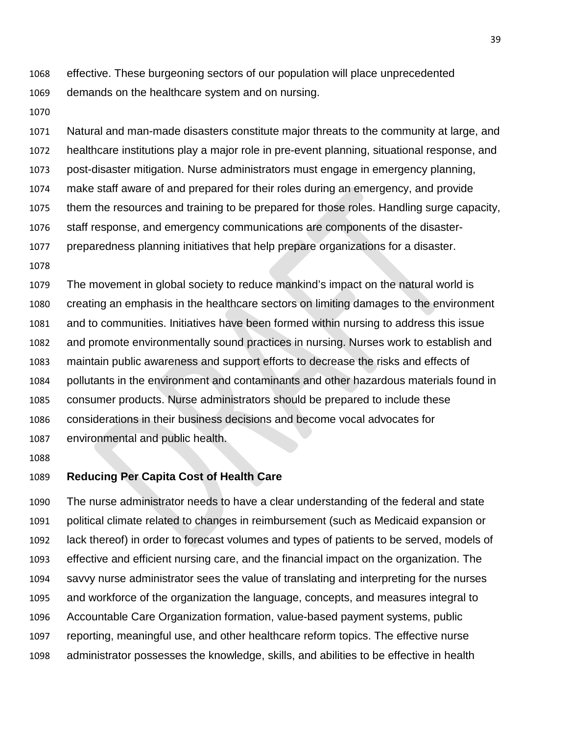- effective. These burgeoning sectors of our population will place unprecedented demands on the healthcare system and on nursing.
- 

 Natural and man-made disasters constitute major threats to the community at large, and healthcare institutions play a major role in pre-event planning, situational response, and post-disaster mitigation. Nurse administrators must engage in emergency planning, make staff aware of and prepared for their roles during an emergency, and provide

- them the resources and training to be prepared for those roles. Handling surge capacity,
- staff response, and emergency communications are components of the disaster-
- preparedness planning initiatives that help prepare organizations for a disaster.
- 

 The movement in global society to reduce mankind's impact on the natural world is creating an emphasis in the healthcare sectors on limiting damages to the environment and to communities. Initiatives have been formed within nursing to address this issue and promote environmentally sound practices in nursing. Nurses work to establish and maintain public awareness and support efforts to decrease the risks and effects of pollutants in the environment and contaminants and other hazardous materials found in consumer products. Nurse administrators should be prepared to include these considerations in their business decisions and become vocal advocates for environmental and public health.

### **Reducing Per Capita Cost of Health Care**

 The nurse administrator needs to have a clear understanding of the federal and state political climate related to changes in reimbursement (such as Medicaid expansion or lack thereof) in order to forecast volumes and types of patients to be served, models of effective and efficient nursing care, and the financial impact on the organization. The savvy nurse administrator sees the value of translating and interpreting for the nurses and workforce of the organization the language, concepts, and measures integral to Accountable Care Organization formation, value-based payment systems, public reporting, meaningful use, and other healthcare reform topics. The effective nurse administrator possesses the knowledge, skills, and abilities to be effective in health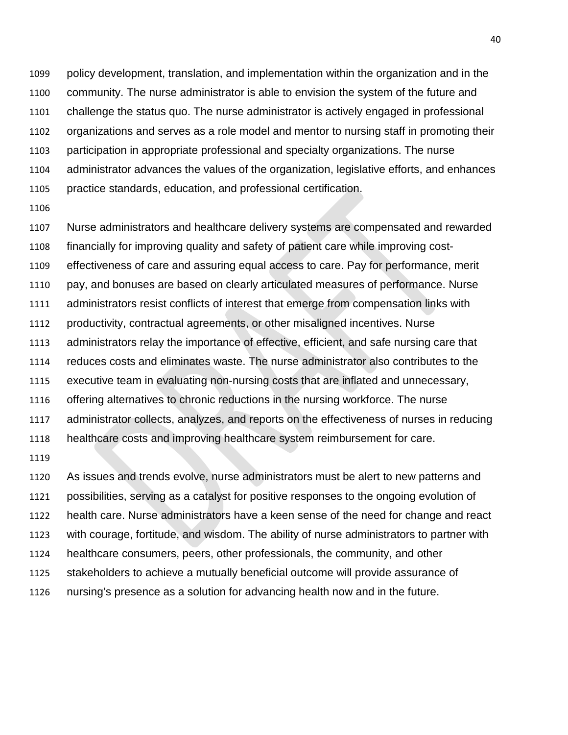policy development, translation, and implementation within the organization and in the community. The nurse administrator is able to envision the system of the future and challenge the status quo. The nurse administrator is actively engaged in professional organizations and serves as a role model and mentor to nursing staff in promoting their participation in appropriate professional and specialty organizations. The nurse administrator advances the values of the organization, legislative efforts, and enhances practice standards, education, and professional certification.

 Nurse administrators and healthcare delivery systems are compensated and rewarded financially for improving quality and safety of patient care while improving cost- effectiveness of care and assuring equal access to care. Pay for performance, merit pay, and bonuses are based on clearly articulated measures of performance. Nurse administrators resist conflicts of interest that emerge from compensation links with productivity, contractual agreements, or other misaligned incentives. Nurse administrators relay the importance of effective, efficient, and safe nursing care that reduces costs and eliminates waste. The nurse administrator also contributes to the executive team in evaluating non-nursing costs that are inflated and unnecessary, offering alternatives to chronic reductions in the nursing workforce. The nurse administrator collects, analyzes, and reports on the effectiveness of nurses in reducing healthcare costs and improving healthcare system reimbursement for care. 

 As issues and trends evolve, nurse administrators must be alert to new patterns and possibilities, serving as a catalyst for positive responses to the ongoing evolution of health care. Nurse administrators have a keen sense of the need for change and react with courage, fortitude, and wisdom. The ability of nurse administrators to partner with healthcare consumers, peers, other professionals, the community, and other stakeholders to achieve a mutually beneficial outcome will provide assurance of nursing's presence as a solution for advancing health now and in the future.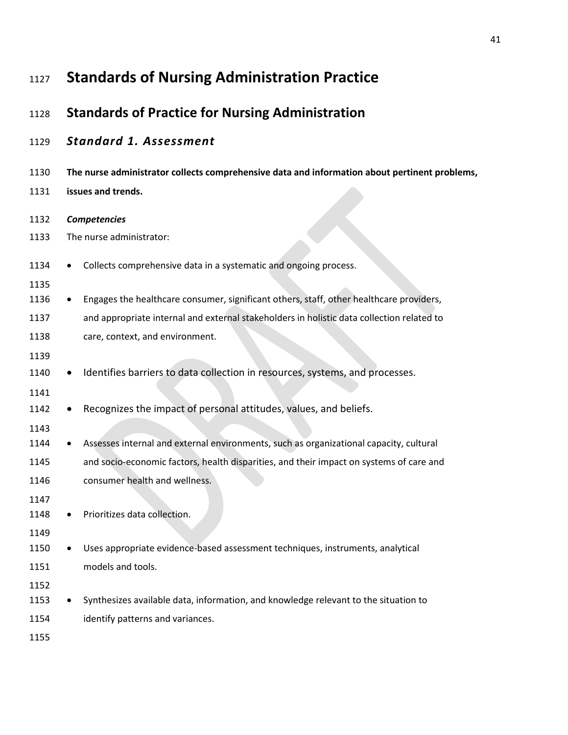| 1127         | <b>Standards of Nursing Administration Practice</b>                                           |
|--------------|-----------------------------------------------------------------------------------------------|
| 1128         | <b>Standards of Practice for Nursing Administration</b>                                       |
| 1129         | <b>Standard 1. Assessment</b>                                                                 |
| 1130         | The nurse administrator collects comprehensive data and information about pertinent problems, |
| 1131         | issues and trends.                                                                            |
| 1132         | <b>Competencies</b>                                                                           |
| 1133         | The nurse administrator:                                                                      |
| 1134<br>1135 | Collects comprehensive data in a systematic and ongoing process.                              |
| 1136         | Engages the healthcare consumer, significant others, staff, other healthcare providers,       |
| 1137         | and appropriate internal and external stakeholders in holistic data collection related to     |
| 1138         | care, context, and environment.                                                               |
| 1139         |                                                                                               |
| 1140         | Identifies barriers to data collection in resources, systems, and processes.                  |
| 1141         |                                                                                               |
| 1142         | Recognizes the impact of personal attitudes, values, and beliefs.                             |
| 1143         |                                                                                               |
| 1144         | Assesses internal and external environments, such as organizational capacity, cultural        |
| 1145         | and socio-economic factors, health disparities, and their impact on systems of care and       |
| 1146         | consumer health and wellness.                                                                 |
| 1147         |                                                                                               |
| 1148         | Prioritizes data collection.                                                                  |
| 1149         |                                                                                               |
| 1150         | Uses appropriate evidence-based assessment techniques, instruments, analytical                |
| 1151         | models and tools.                                                                             |
| 1152<br>1153 | Synthesizes available data, information, and knowledge relevant to the situation to           |
| 1154         | identify patterns and variances.                                                              |
|              |                                                                                               |
| 1155         |                                                                                               |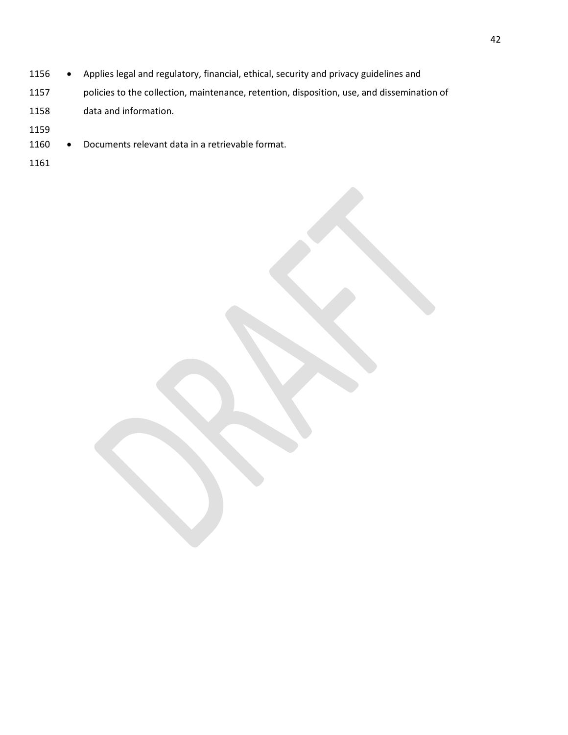- 1156 Applies legal and regulatory, financial, ethical, security and privacy guidelines and
- policies to the collection, maintenance, retention, disposition, use, and dissemination of data and information.
- 
- 1160 Documents relevant data in a retrievable format.
-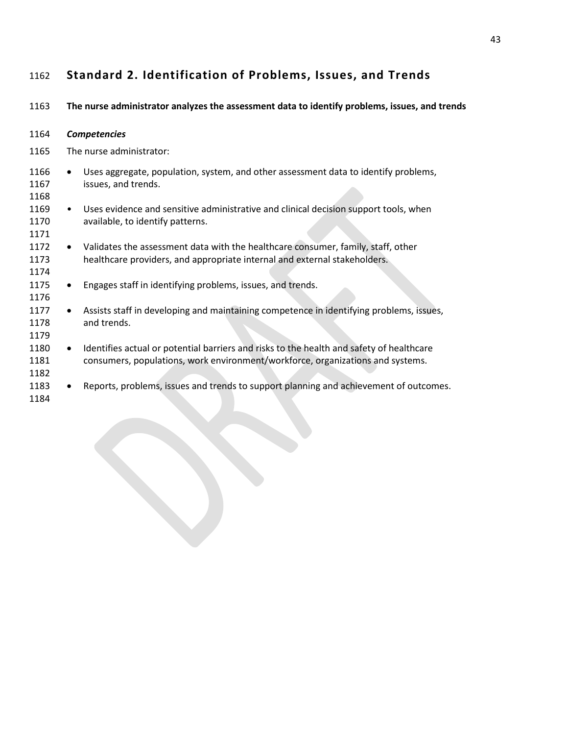# **Standard 2. Identification of Problems, Issues, and Trends**

**The nurse administrator analyzes the assessment data to identify problems, issues, and trends** 

| 1164                 |           | <b>Competencies</b>                                                                                                                                                        |
|----------------------|-----------|----------------------------------------------------------------------------------------------------------------------------------------------------------------------------|
| 1165                 |           | The nurse administrator:                                                                                                                                                   |
| 1166<br>1167<br>1168 | $\bullet$ | Uses aggregate, population, system, and other assessment data to identify problems,<br>issues, and trends.                                                                 |
| 1169<br>1170<br>1171 | $\bullet$ | Uses evidence and sensitive administrative and clinical decision support tools, when<br>available, to identify patterns.                                                   |
| 1172<br>1173<br>1174 |           | Validates the assessment data with the healthcare consumer, family, staff, other<br>healthcare providers, and appropriate internal and external stakeholders.              |
| 1175<br>1176         | $\bullet$ | Engages staff in identifying problems, issues, and trends.                                                                                                                 |
| 1177<br>1178<br>1179 | $\bullet$ | Assists staff in developing and maintaining competence in identifying problems, issues,<br>and trends.                                                                     |
| 1180<br>1181<br>1182 | $\bullet$ | Identifies actual or potential barriers and risks to the health and safety of healthcare<br>consumers, populations, work environment/workforce, organizations and systems. |
| 1183<br>1184         |           | Reports, problems, issues and trends to support planning and achievement of outcomes.                                                                                      |
|                      |           |                                                                                                                                                                            |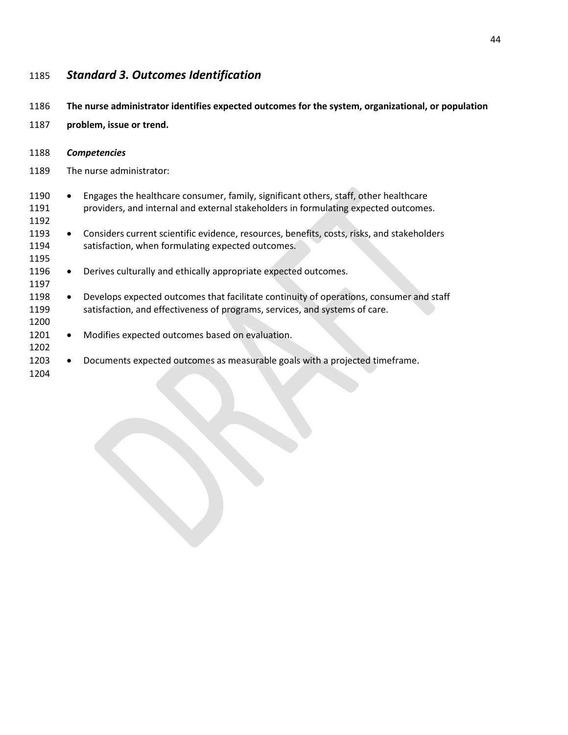# *Standard 3. Outcomes Identification*

| 1186                 | The nurse administrator identifies expected outcomes for the system, organizational, or population |                                                                                                                                                                             |  |
|----------------------|----------------------------------------------------------------------------------------------------|-----------------------------------------------------------------------------------------------------------------------------------------------------------------------------|--|
| 1187                 | problem, issue or trend.                                                                           |                                                                                                                                                                             |  |
| 1188                 |                                                                                                    | <b>Competencies</b>                                                                                                                                                         |  |
| 1189                 | The nurse administrator:                                                                           |                                                                                                                                                                             |  |
| 1190<br>1191<br>1192 | $\bullet$                                                                                          | Engages the healthcare consumer, family, significant others, staff, other healthcare<br>providers, and internal and external stakeholders in formulating expected outcomes. |  |
| 1193<br>1194<br>1195 | $\bullet$                                                                                          | Considers current scientific evidence, resources, benefits, costs, risks, and stakeholders<br>satisfaction, when formulating expected outcomes.                             |  |
| 1196<br>1197         | $\bullet$                                                                                          | Derives culturally and ethically appropriate expected outcomes.                                                                                                             |  |
| 1198<br>1199<br>1200 | $\bullet$                                                                                          | Develops expected outcomes that facilitate continuity of operations, consumer and staff<br>satisfaction, and effectiveness of programs, services, and systems of care.      |  |
| 1201<br>1202         | $\bullet$                                                                                          | Modifies expected outcomes based on evaluation.                                                                                                                             |  |
| 1203<br>1204         |                                                                                                    | Documents expected outcomes as measurable goals with a projected timeframe.                                                                                                 |  |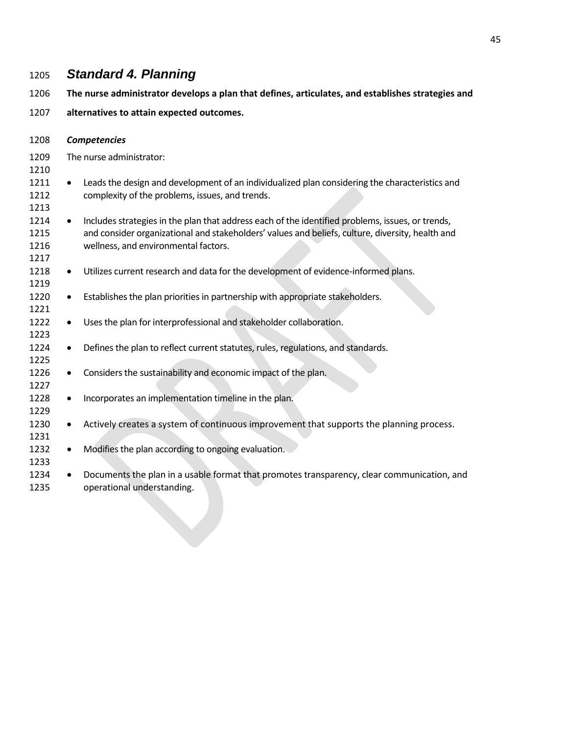# *Standard 4. Planning*

- **The nurse administrator develops a plan that defines, articulates, and establishes strategies and**
- **alternatives to attain expected outcomes.**

| 1208                         |   | <b>Competencies</b>                                                                                                                                                                                                                          |
|------------------------------|---|----------------------------------------------------------------------------------------------------------------------------------------------------------------------------------------------------------------------------------------------|
| 1209<br>1210                 |   | The nurse administrator:                                                                                                                                                                                                                     |
| 1211<br>1212<br>1213         | ٠ | Leads the design and development of an individualized plan considering the characteristics and<br>complexity of the problems, issues, and trends.                                                                                            |
| 1214<br>1215<br>1216<br>1217 | ٠ | Includes strategies in the plan that address each of the identified problems, issues, or trends,<br>and consider organizational and stakeholders' values and beliefs, culture, diversity, health and<br>wellness, and environmental factors. |
| 1218<br>1219                 |   | Utilizes current research and data for the development of evidence-informed plans.                                                                                                                                                           |
| 1220<br>1221                 |   | Establishes the plan priorities in partnership with appropriate stakeholders.                                                                                                                                                                |
| 1222<br>1223                 |   | Uses the plan for interprofessional and stakeholder collaboration.                                                                                                                                                                           |
| 1224<br>1225                 | ٠ | Defines the plan to reflect current statutes, rules, regulations, and standards.                                                                                                                                                             |
| 1226<br>1227                 |   | Considers the sustainability and economic impact of the plan.                                                                                                                                                                                |
| 1228<br>1229                 |   | Incorporates an implementation timeline in the plan.                                                                                                                                                                                         |
| 1230<br>1231                 | ٠ | Actively creates a system of continuous improvement that supports the planning process.                                                                                                                                                      |
| 1232<br>1233                 |   | Modifies the plan according to ongoing evaluation.                                                                                                                                                                                           |
| 1234                         |   | Documents the plan in a usable format that promotes transparency, clear communication, and                                                                                                                                                   |

operational understanding.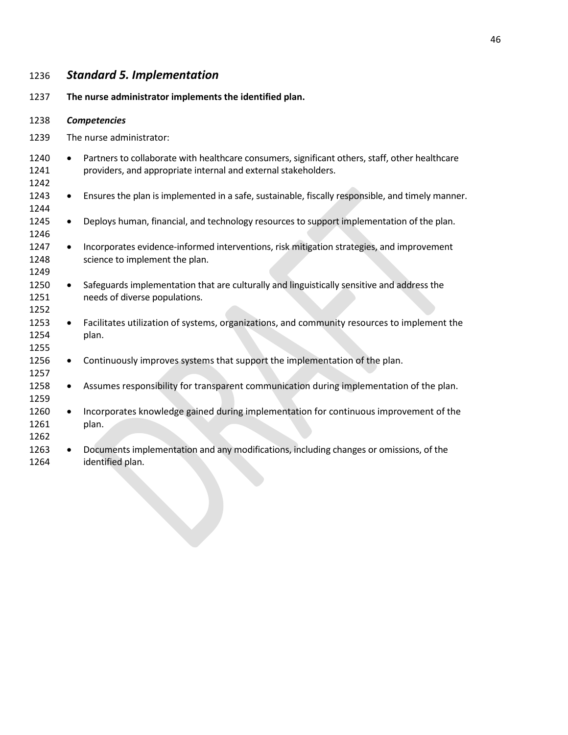### *Standard 5. Implementation*

**The nurse administrator implements the identified plan.**

#### *Competencies*

- The nurse administrator:
- 1240 Partners to collaborate with healthcare consumers, significant others, staff, other healthcare providers, and appropriate internal and external stakeholders.
- Ensures the plan is implemented in a safe, sustainable, fiscally responsible, and timely manner.
- 1245 Deploys human, financial, and technology resources to support implementation of the plan.
- Incorporates evidence-informed interventions, risk mitigation strategies, and improvement 1248 science to implement the plan.
- 1250 Safeguards implementation that are culturally and linguistically sensitive and address the needs of diverse populations.
- Facilitates utilization of systems, organizations, and community resources to implement the plan.
- 1256 Continuously improves systems that support the implementation of the plan.
- 1258 Assumes responsibility for transparent communication during implementation of the plan.
- 1260 Incorporates knowledge gained during implementation for continuous improvement of the plan.
- Documents implementation and any modifications, including changes or omissions, of the identified plan.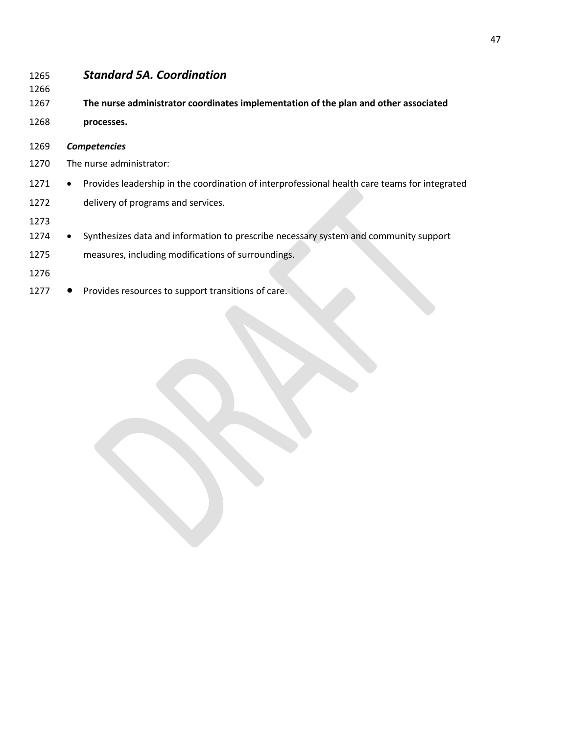| 1265<br>1266 | <b>Standard 5A. Coordination</b>                                                                           |
|--------------|------------------------------------------------------------------------------------------------------------|
| 1267         | The nurse administrator coordinates implementation of the plan and other associated                        |
| 1268         | processes.                                                                                                 |
| 1269         | <b>Competencies</b>                                                                                        |
| 1270         | The nurse administrator:                                                                                   |
| 1271         | Provides leadership in the coordination of interprofessional health care teams for integrated<br>$\bullet$ |
| 1272         | delivery of programs and services.                                                                         |
| 1273         |                                                                                                            |
| 1274         | Synthesizes data and information to prescribe necessary system and community support<br>$\bullet$          |
| 1275         | measures, including modifications of surroundings.                                                         |
| 1276         |                                                                                                            |
| 1277         | Provides resources to support transitions of care.                                                         |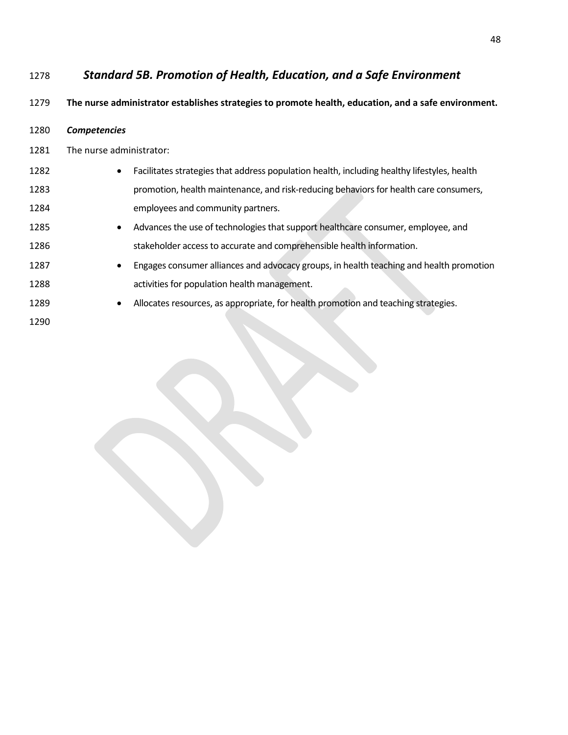## *Standard 5B. Promotion of Health, Education, and a Safe Environment*

#### **The nurse administrator establishes strategies to promote health, education, and a safe environment.**

| 1280 | Competencies |
|------|--------------|
|------|--------------|

The nurse administrator:

| 1282 | Facilitates strategies that address population health, including healthy lifestyles, health |
|------|---------------------------------------------------------------------------------------------|
| 1283 | promotion, health maintenance, and risk-reducing behaviors for health care consumers,       |
| 1284 | employees and community partners.                                                           |

- Advances the use of technologies that support healthcare consumer, employee, and 1286 stakeholder access to accurate and comprehensible health information.
- 1287 Engages consumer alliances and advocacy groups, in health teaching and health promotion activities for population health management.
- 1289 Allocates resources, as appropriate, for health promotion and teaching strategies.
-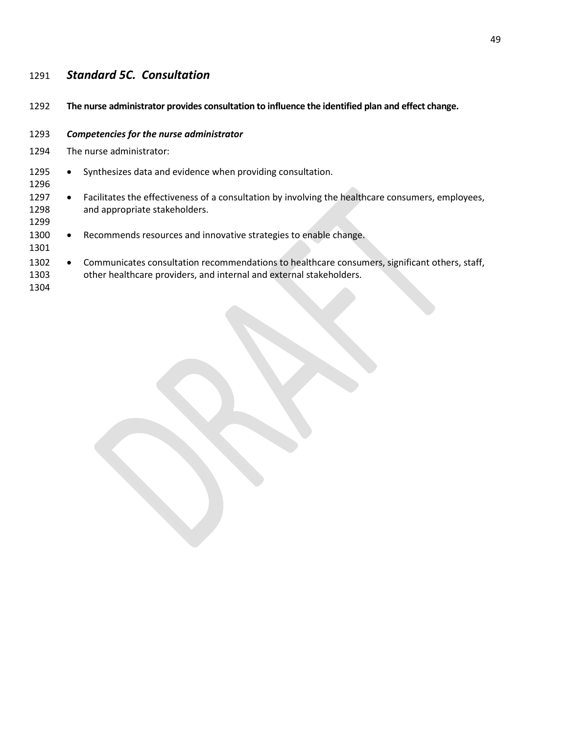# *Standard 5C. Consultation*

| 1292 | The nurse administrator provides consultation to influence the identified plan and effect change. |
|------|---------------------------------------------------------------------------------------------------|
| 1293 | Competencies for the nurse administrator                                                          |
| 1294 | The nurse administrator:                                                                          |
| 1295 | Synthesizes data and evidence when providing consultation.                                        |
| 1296 | $\bullet$                                                                                         |
| 1297 | Facilitates the effectiveness of a consultation by involving the healthcare consumers, employees, |
| 1298 | $\bullet$                                                                                         |
| 1299 | and appropriate stakeholders.                                                                     |
| 1300 | Recommends resources and innovative strategies to enable change.                                  |
| 1301 | $\bullet$                                                                                         |
| 1302 | Communicates consultation recommendations to healthcare consumers, significant others, staff,     |
| 1303 | $\bullet$                                                                                         |
| 1304 | other healthcare providers, and internal and external stakeholders.                               |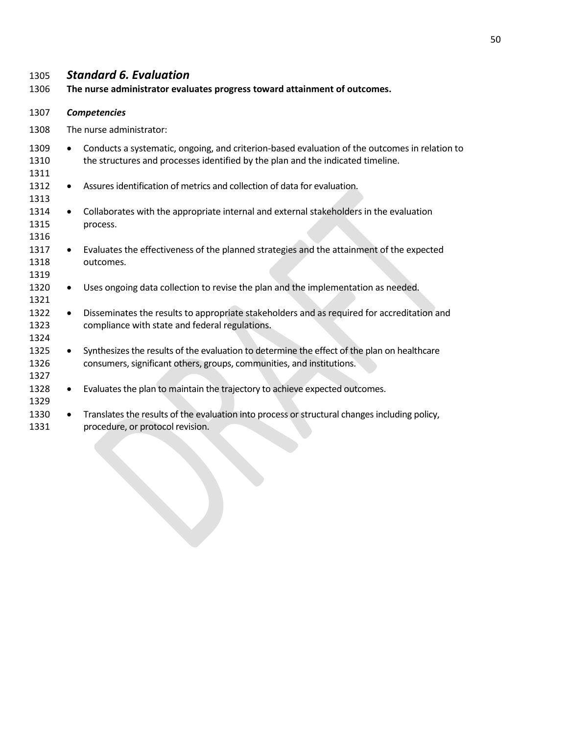## *Standard 6. Evaluation*

**The nurse administrator evaluates progress toward attainment of outcomes.**

- *Competencies*
- The nurse administrator:

| 1309<br>1310<br>1311 |           | Conducts a systematic, ongoing, and criterion-based evaluation of the outcomes in relation to<br>the structures and processes identified by the plan and the indicated timeline. |
|----------------------|-----------|----------------------------------------------------------------------------------------------------------------------------------------------------------------------------------|
| 1312<br>1313         | $\bullet$ | Assures identification of metrics and collection of data for evaluation.                                                                                                         |
| 1314<br>1315<br>1316 | ٠         | Collaborates with the appropriate internal and external stakeholders in the evaluation<br>process.                                                                               |
| 1317<br>1318<br>1319 |           | Evaluates the effectiveness of the planned strategies and the attainment of the expected<br>outcomes.                                                                            |
| 1320<br>1321         | ٠         | Uses ongoing data collection to revise the plan and the implementation as needed.                                                                                                |
| 1322<br>1323<br>1324 | ٠         | Disseminates the results to appropriate stakeholders and as required for accreditation and<br>compliance with state and federal regulations.                                     |
| 1325<br>1326<br>1327 | ٠         | Synthesizes the results of the evaluation to determine the effect of the plan on healthcare<br>consumers, significant others, groups, communities, and institutions.             |
| 1328<br>1329         | ٠         | Evaluates the plan to maintain the trajectory to achieve expected outcomes.                                                                                                      |
| 1330<br>1331         | $\bullet$ | Translates the results of the evaluation into process or structural changes including policy,<br>procedure, or protocol revision.                                                |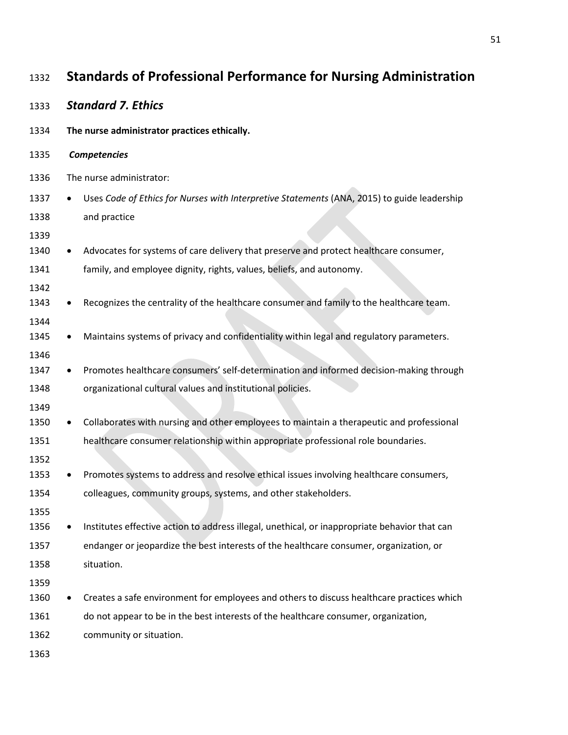| 1332         | <b>Standards of Professional Performance for Nursing Administration</b>                       |  |
|--------------|-----------------------------------------------------------------------------------------------|--|
| 1333         | <b>Standard 7. Ethics</b>                                                                     |  |
| 1334         | The nurse administrator practices ethically.                                                  |  |
| 1335         | Competencies                                                                                  |  |
| 1336         | The nurse administrator:                                                                      |  |
| 1337         | Uses Code of Ethics for Nurses with Interpretive Statements (ANA, 2015) to guide leadership   |  |
| 1338         | and practice                                                                                  |  |
| 1339         |                                                                                               |  |
| 1340         | Advocates for systems of care delivery that preserve and protect healthcare consumer,         |  |
| 1341         | family, and employee dignity, rights, values, beliefs, and autonomy.                          |  |
| 1342         |                                                                                               |  |
| 1343         | Recognizes the centrality of the healthcare consumer and family to the healthcare team.       |  |
| 1344         |                                                                                               |  |
| 1345         | Maintains systems of privacy and confidentiality within legal and regulatory parameters.      |  |
| 1346         |                                                                                               |  |
| 1347         | Promotes healthcare consumers' self-determination and informed decision-making through        |  |
| 1348         | organizational cultural values and institutional policies.                                    |  |
| 1349<br>1350 | Collaborates with nursing and other employees to maintain a therapeutic and professional      |  |
| 1351         | healthcare consumer relationship within appropriate professional role boundaries.             |  |
| 1352         |                                                                                               |  |
| 1353         | Promotes systems to address and resolve ethical issues involving healthcare consumers,        |  |
| 1354         | colleagues, community groups, systems, and other stakeholders.                                |  |
| 1355         |                                                                                               |  |
| 1356         | Institutes effective action to address illegal, unethical, or inappropriate behavior that can |  |
| 1357         | endanger or jeopardize the best interests of the healthcare consumer, organization, or        |  |
| 1358         | situation.                                                                                    |  |
| 1359         |                                                                                               |  |
| 1360         | Creates a safe environment for employees and others to discuss healthcare practices which     |  |
| 1361         | do not appear to be in the best interests of the healthcare consumer, organization,           |  |
| 1362         | community or situation.                                                                       |  |
| 1363         |                                                                                               |  |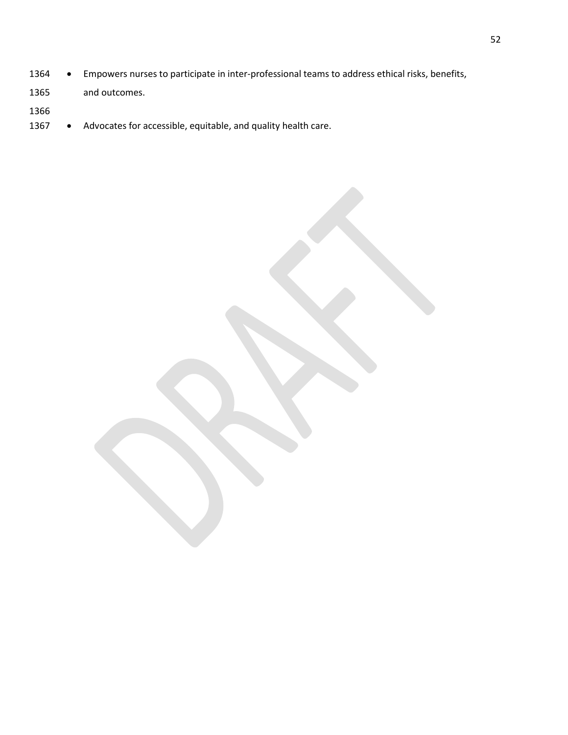- Empowers nurses to participate in inter-professional teams to address ethical risks, benefits,
- and outcomes.
- 
- 1367 Advocates for accessible, equitable, and quality health care.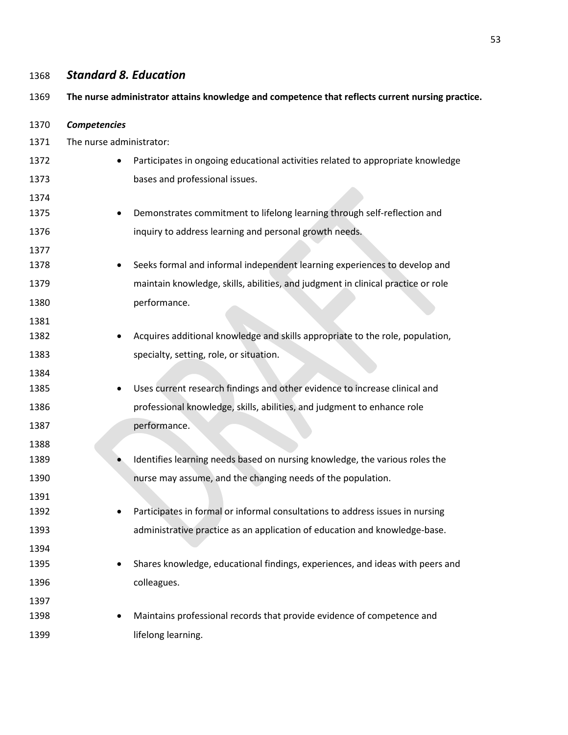# *Standard 8. Education*  **The nurse administrator attains knowledge and competence that reflects current nursing practice.** *Competencies* The nurse administrator: 1372 • Participates in ongoing educational activities related to appropriate knowledge bases and professional issues. 1375 • Demonstrates commitment to lifelong learning through self-reflection and inquiry to address learning and personal growth needs. • Seeks formal and informal independent learning experiences to develop and maintain knowledge, skills, abilities, and judgment in clinical practice or role 1380 performance. 1382 • Acquires additional knowledge and skills appropriate to the role, population, specialty, setting, role, or situation. • Uses current research findings and other evidence to increase clinical and professional knowledge, skills, abilities, and judgment to enhance role 1387 performance. 1389 • Identifies learning needs based on nursing knowledge, the various roles the nurse may assume, and the changing needs of the population. 1392 • Participates in formal or informal consultations to address issues in nursing administrative practice as an application of education and knowledge-base. • Shares knowledge, educational findings, experiences, and ideas with peers and colleagues. 1398 • Maintains professional records that provide evidence of competence and **lifelong learning.**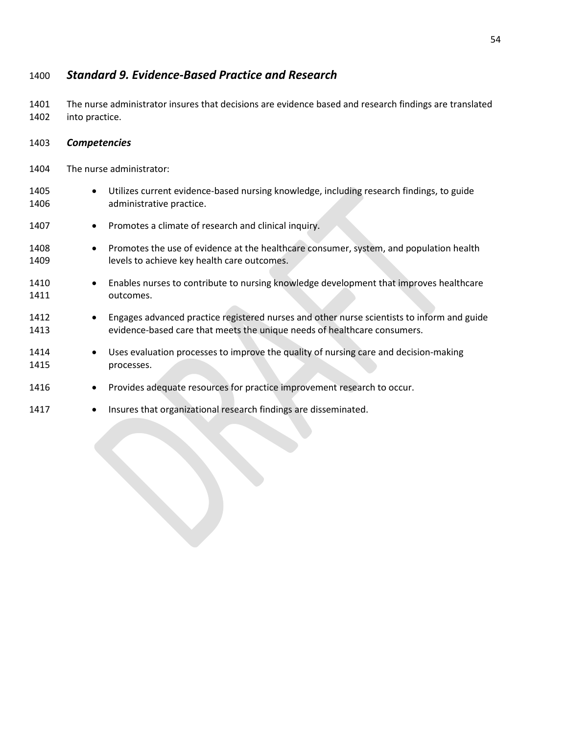### 1400 *Standard 9. Evidence-Based Practice and Research*

1401 The nurse administrator insures that decisions are evidence based and research findings are translated 1402 into practice.

- 1403 *Competencies*
- 1404 The nurse administrator:
- 1405 Utilizes current evidence-based nursing knowledge, including research findings, to guide 1406 **administrative practice.** 1407 • Promotes a climate of research and clinical inquiry. 1408 • Promotes the use of evidence at the healthcare consumer, system, and population health 1409 levels to achieve key health care outcomes. 1410 • Enables nurses to contribute to nursing knowledge development that improves healthcare 1411 outcomes. 1412 • Engages advanced practice registered nurses and other nurse scientists to inform and guide 1413 evidence-based care that meets the unique needs of healthcare consumers. 1414 • Uses evaluation processes to improve the quality of nursing care and decision-making 1415 processes. 1416 • Provides adequate resources for practice improvement research to occur. 1417 • Insures that organizational research findings are disseminated.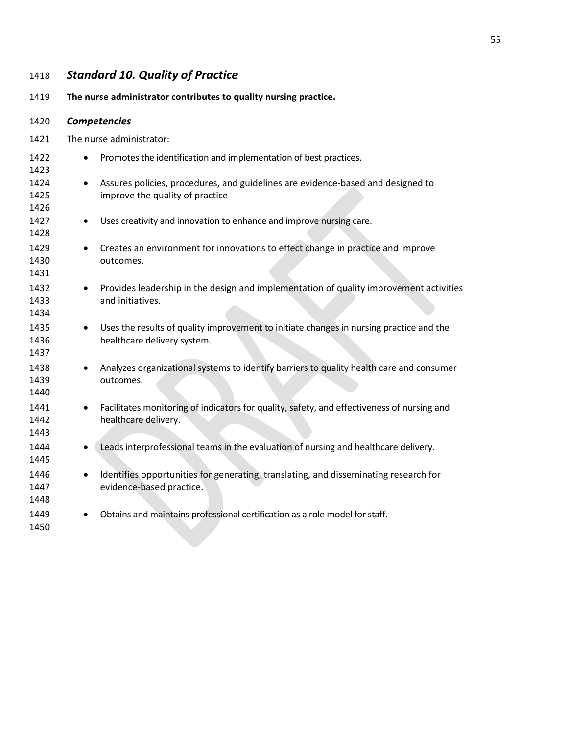# *Standard 10. Quality of Practice*

**The nurse administrator contributes to quality nursing practice.**

| 1420                 | <b>Competencies</b>      |                                                                                                                        |  |
|----------------------|--------------------------|------------------------------------------------------------------------------------------------------------------------|--|
| 1421                 | The nurse administrator: |                                                                                                                        |  |
| 1422<br>1423         | $\bullet$                | Promotes the identification and implementation of best practices.                                                      |  |
| 1424<br>1425<br>1426 | $\bullet$                | Assures policies, procedures, and guidelines are evidence-based and designed to<br>improve the quality of practice     |  |
| 1427<br>1428         | $\bullet$                | Uses creativity and innovation to enhance and improve nursing care.                                                    |  |
| 1429<br>1430<br>1431 | $\bullet$                | Creates an environment for innovations to effect change in practice and improve<br>outcomes.                           |  |
| 1432<br>1433<br>1434 | $\bullet$                | Provides leadership in the design and implementation of quality improvement activities<br>and initiatives.             |  |
| 1435<br>1436<br>1437 | $\bullet$                | Uses the results of quality improvement to initiate changes in nursing practice and the<br>healthcare delivery system. |  |
| 1438<br>1439<br>1440 | $\bullet$                | Analyzes organizational systems to identify barriers to quality health care and consumer<br>outcomes.                  |  |
| 1441<br>1442<br>1443 | ٠                        | Facilitates monitoring of indicators for quality, safety, and effectiveness of nursing and<br>healthcare delivery.     |  |
| 1444<br>1445         |                          | Leads interprofessional teams in the evaluation of nursing and healthcare delivery.                                    |  |
| 1446<br>1447<br>1448 |                          | Identifies opportunities for generating, translating, and disseminating research for<br>evidence-based practice.       |  |
| 1449<br>1450         | $\bullet$                | Obtains and maintains professional certification as a role model for staff.                                            |  |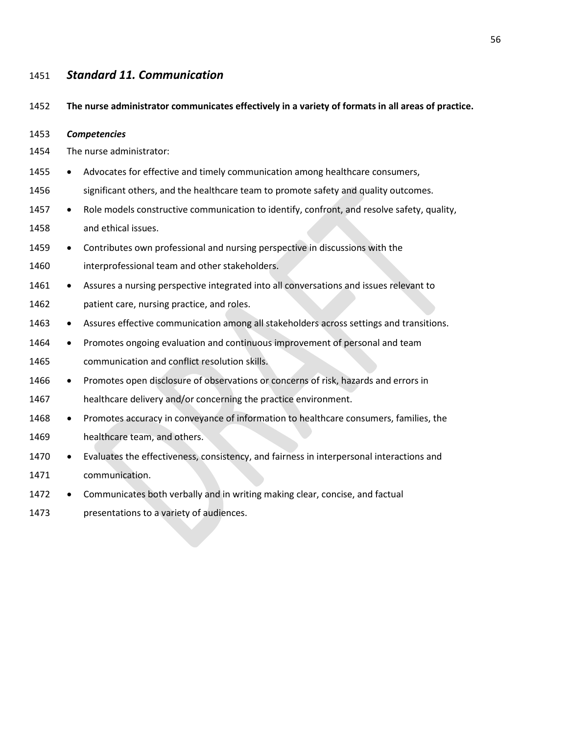### *Standard 11. Communication*

**The nurse administrator communicates effectively in a variety of formats in all areas of practice.** 

*Competencies* 

- The nurse administrator:
- 1455 Advocates for effective and timely communication among healthcare consumers,
- 1456 significant others, and the healthcare team to promote safety and quality outcomes.
- 1457 Role models constructive communication to identify, confront, and resolve safety, quality, and ethical issues.
- Contributes own professional and nursing perspective in discussions with the interprofessional team and other stakeholders.
- 1461 Assures a nursing perspective integrated into all conversations and issues relevant to patient care, nursing practice, and roles.
- 1463 Assures effective communication among all stakeholders across settings and transitions.
- Promotes ongoing evaluation and continuous improvement of personal and team communication and conflict resolution skills.
- 1466 Promotes open disclosure of observations or concerns of risk, hazards and errors in
- healthcare delivery and/or concerning the practice environment.
- Promotes accuracy in conveyance of information to healthcare consumers, families, the healthcare team, and others.
- 1470 Evaluates the effectiveness, consistency, and fairness in interpersonal interactions and communication.
- 1472 Communicates both verbally and in writing making clear, concise, and factual
- presentations to a variety of audiences.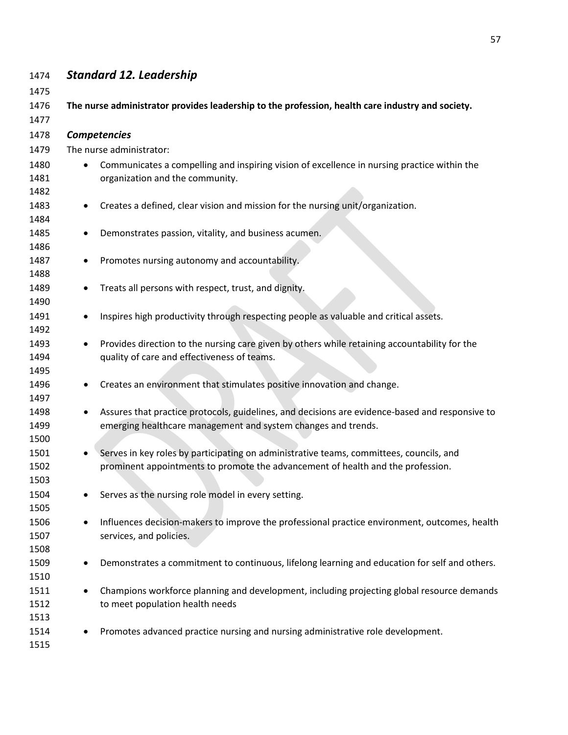| 1474         |           | <b>Standard 12. Leadership</b>                                                                   |
|--------------|-----------|--------------------------------------------------------------------------------------------------|
| 1475         |           |                                                                                                  |
| 1476         |           | The nurse administrator provides leadership to the profession, health care industry and society. |
| 1477<br>1478 |           | Competencies                                                                                     |
| 1479         |           | The nurse administrator:                                                                         |
|              |           |                                                                                                  |
| 1480         |           | Communicates a compelling and inspiring vision of excellence in nursing practice within the      |
| 1481<br>1482 |           | organization and the community.                                                                  |
| 1483         |           | Creates a defined, clear vision and mission for the nursing unit/organization.                   |
| 1484         |           |                                                                                                  |
| 1485         |           | Demonstrates passion, vitality, and business acumen.                                             |
| 1486         |           |                                                                                                  |
| 1487         |           | Promotes nursing autonomy and accountability.                                                    |
| 1488         |           |                                                                                                  |
| 1489<br>1490 |           | Treats all persons with respect, trust, and dignity.                                             |
| 1491         |           | Inspires high productivity through respecting people as valuable and critical assets.            |
| 1492         |           |                                                                                                  |
| 1493         |           | Provides direction to the nursing care given by others while retaining accountability for the    |
| 1494         |           | quality of care and effectiveness of teams.                                                      |
| 1495         |           |                                                                                                  |
| 1496         | $\bullet$ | Creates an environment that stimulates positive innovation and change.                           |
| 1497         |           |                                                                                                  |
| 1498         |           | Assures that practice protocols, guidelines, and decisions are evidence-based and responsive to  |
| 1499         |           | emerging healthcare management and system changes and trends.                                    |
| 1500         |           |                                                                                                  |
| 1501         |           | Serves in key roles by participating on administrative teams, committees, councils, and          |
| 1502<br>1503 |           | prominent appointments to promote the advancement of health and the profession.                  |
| 1504         |           | Serves as the nursing role model in every setting.                                               |
| 1505         |           |                                                                                                  |
| 1506         |           | Influences decision-makers to improve the professional practice environment, outcomes, health    |
| 1507         |           | services, and policies.                                                                          |
| 1508         |           |                                                                                                  |
| 1509         | ٠         | Demonstrates a commitment to continuous, lifelong learning and education for self and others.    |
| 1510         |           |                                                                                                  |
| 1511         |           | Champions workforce planning and development, including projecting global resource demands       |
| 1512         |           | to meet population health needs                                                                  |
| 1513         |           |                                                                                                  |
| 1514         |           | Promotes advanced practice nursing and nursing administrative role development.                  |
| 1515         |           |                                                                                                  |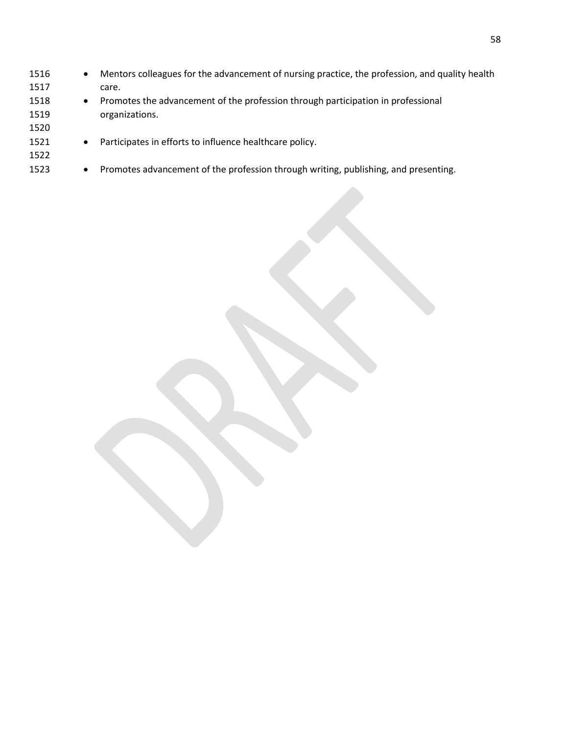| 1516 |           | Mentors colleagues for the advancement of nursing practice, the profession, and quality health |
|------|-----------|------------------------------------------------------------------------------------------------|
| 1517 |           | care.                                                                                          |
| 1518 | ٠         | Promotes the advancement of the profession through participation in professional               |
| 1519 |           | organizations.                                                                                 |
| 1520 |           |                                                                                                |
| 1521 | $\bullet$ | Participates in efforts to influence healthcare policy.                                        |
| 1522 |           |                                                                                                |
| 1523 | $\bullet$ | Promotes advancement of the profession through writing, publishing, and presenting.            |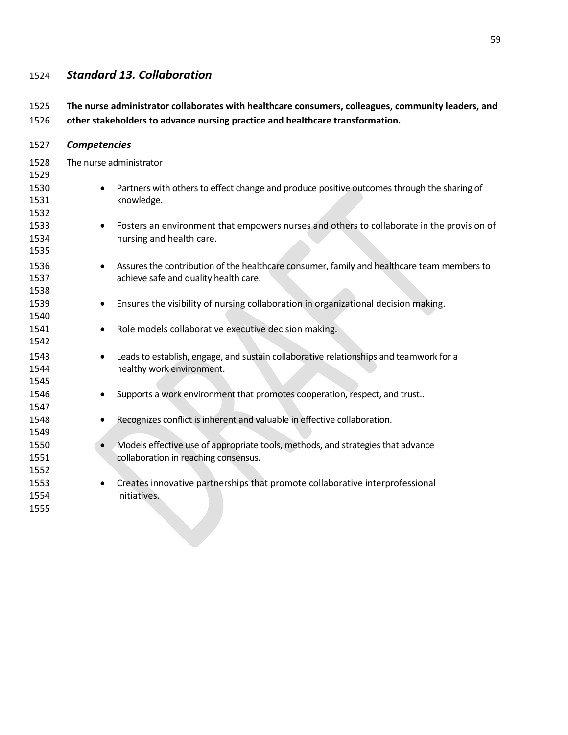## *Standard 13. Collaboration*

| 1525                 |                     | The nurse administrator collaborates with healthcare consumers, colleagues, community leaders, and                                  |
|----------------------|---------------------|-------------------------------------------------------------------------------------------------------------------------------------|
| 1526                 |                     | other stakeholders to advance nursing practice and healthcare transformation.                                                       |
| 1527                 | <b>Competencies</b> |                                                                                                                                     |
| 1528<br>1529         |                     | The nurse administrator                                                                                                             |
| 1530<br>1531<br>1532 |                     | Partners with others to effect change and produce positive outcomes through the sharing of<br>knowledge.                            |
| 1533<br>1534<br>1535 | ٠                   | Fosters an environment that empowers nurses and others to collaborate in the provision of<br>nursing and health care.               |
| 1536<br>1537<br>1538 | $\bullet$           | Assures the contribution of the healthcare consumer, family and healthcare team members to<br>achieve safe and quality health care. |
| 1539<br>1540         | $\bullet$           | Ensures the visibility of nursing collaboration in organizational decision making.                                                  |
| 1541<br>1542         | $\bullet$           | Role models collaborative executive decision making.                                                                                |
| 1543<br>1544<br>1545 | $\bullet$           | Leads to establish, engage, and sustain collaborative relationships and teamwork for a<br>healthy work environment.                 |
| 1546<br>1547         | $\bullet$           | Supports a work environment that promotes cooperation, respect, and trust                                                           |
| 1548<br>1549         | $\bullet$           | Recognizes conflict is inherent and valuable in effective collaboration.                                                            |
| 1550<br>1551<br>1552 |                     | Models effective use of appropriate tools, methods, and strategies that advance<br>collaboration in reaching consensus.             |
| 1553<br>1554<br>1555 | $\bullet$           | Creates innovative partnerships that promote collaborative interprofessional<br>initiatives.                                        |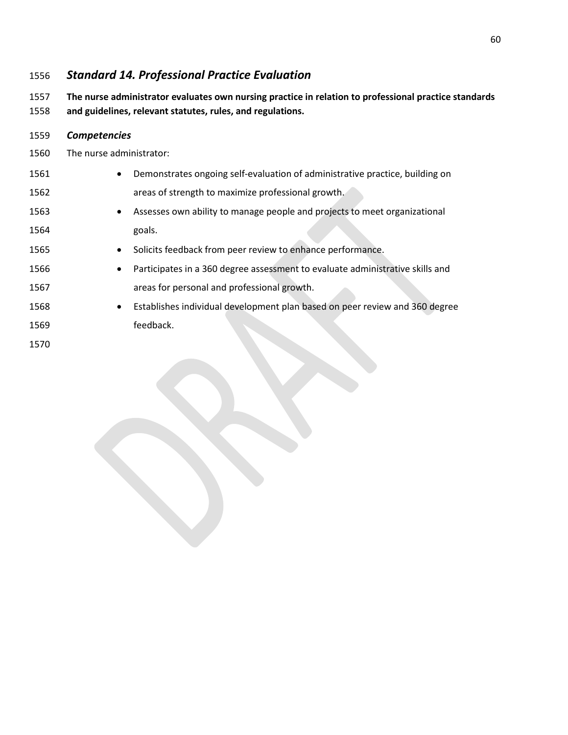## *Standard 14. Professional Practice Evaluation*

 **The nurse administrator evaluates own nursing practice in relation to professional practice standards and guidelines, relevant statutes, rules, and regulations.**

| The nurse administrator:                                                                 |
|------------------------------------------------------------------------------------------|
| Demonstrates ongoing self-evaluation of administrative practice, building on             |
| areas of strength to maximize professional growth.                                       |
| Assesses own ability to manage people and projects to meet organizational                |
| goals.                                                                                   |
| Solicits feedback from peer review to enhance performance.                               |
| Participates in a 360 degree assessment to evaluate administrative skills and            |
| areas for personal and professional growth.                                              |
| Establishes individual development plan based on peer review and 360 degree<br>$\bullet$ |
| feedback.                                                                                |
|                                                                                          |
|                                                                                          |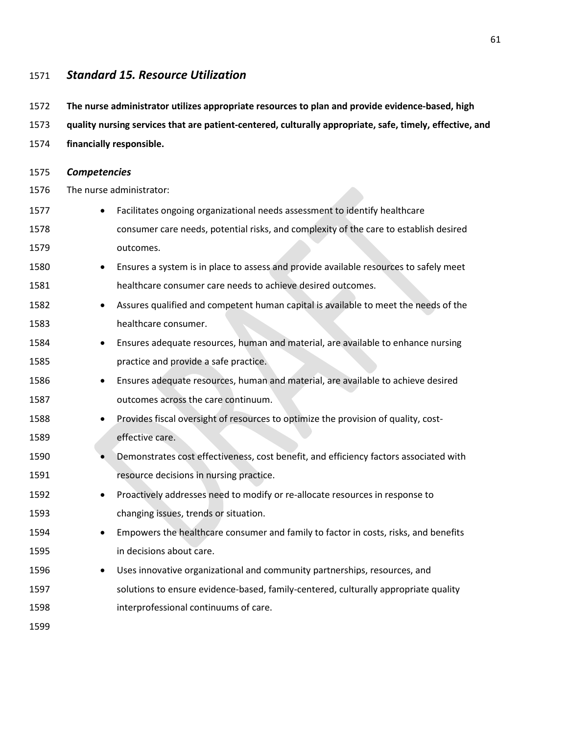#### *Standard 15. Resource Utilization*

- **The nurse administrator utilizes appropriate resources to plan and provide evidence-based, high**
- **quality nursing services that are patient-centered, culturally appropriate, safe, timely, effective, and**
- **financially responsible.**
- *Competencies*
- The nurse administrator:
- Facilitates ongoing organizational needs assessment to identify healthcare consumer care needs, potential risks, and complexity of the care to establish desired outcomes.
- Ensures a system is in place to assess and provide available resources to safely meet healthcare consumer care needs to achieve desired outcomes.
- 1582 Assures qualified and competent human capital is available to meet the needs of the healthcare consumer.
- Ensures adequate resources, human and material, are available to enhance nursing practice and provide a safe practice.
- Ensures adequate resources, human and material, are available to achieve desired outcomes across the care continuum.
- Provides fiscal oversight of resources to optimize the provision of quality, cost-effective care.
- 1590 Demonstrates cost effectiveness, cost benefit, and efficiency factors associated with **resource decisions in nursing practice.**
- Proactively addresses need to modify or re-allocate resources in response to changing issues, trends or situation.
- Empowers the healthcare consumer and family to factor in costs, risks, and benefits in decisions about care.
- Uses innovative organizational and community partnerships, resources, and solutions to ensure evidence-based, family-centered, culturally appropriate quality interprofessional continuums of care.